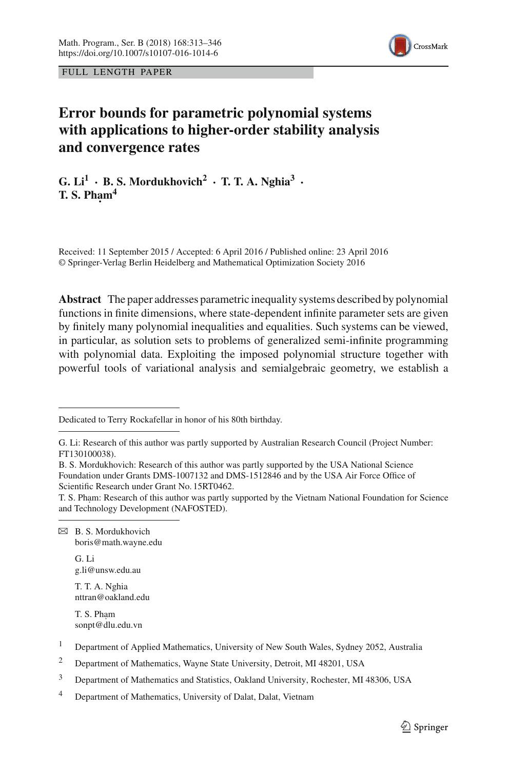

FULL LENGTH PAPER

# **Error bounds for parametric polynomial systems with applications to higher-order stability analysis and convergence rates**

 $G.$  Li<sup>1</sup> **·** B. S. Mordukhovich<sup>2</sup> · T. T. A. Nghia<sup>3</sup> · **T. S. Pham<sup>4</sup>** 

Received: 11 September 2015 / Accepted: 6 April 2016 / Published online: 23 April 2016 © Springer-Verlag Berlin Heidelberg and Mathematical Optimization Society 2016

**Abstract** The paper addresses parametric inequality systems described by polynomial functions in finite dimensions, where state-dependent infinite parameter sets are given by finitely many polynomial inequalities and equalities. Such systems can be viewed, in particular, as solution sets to problems of generalized semi-infinite programming with polynomial data. Exploiting the imposed polynomial structure together with powerful tools of variational analysis and semialgebraic geometry, we establish a

B. S. Mordukhovich: Research of this author was partly supported by the USA National Science Foundation under Grants DMS-1007132 and DMS-1512846 and by the USA Air Force Office of Scientific Research under Grant No. 15RT0462.

T. S. Pham: Research of this author was partly supported by the Vietnam National Foundation for Science and Technology Development (NAFOSTED).

- $\boxtimes$  B. S. Mordukhovich boris@math.wayne.edu
	- G. Li g.li@unsw.edu.au

T. T. A. Nghia nttran@oakland.edu

T. S. Pham sonpt@dlu.edu.vn

Dedicated to Terry Rockafellar in honor of his 80th birthday.

G. Li: Research of this author was partly supported by Australian Research Council (Project Number: FT130100038).

<sup>&</sup>lt;sup>1</sup> Department of Applied Mathematics, University of New South Wales, Sydney 2052, Australia

<sup>&</sup>lt;sup>2</sup> Department of Mathematics, Wayne State University, Detroit, MI 48201, USA

<sup>3</sup> Department of Mathematics and Statistics, Oakland University, Rochester, MI 48306, USA

<sup>4</sup> Department of Mathematics, University of Dalat, Dalat, Vietnam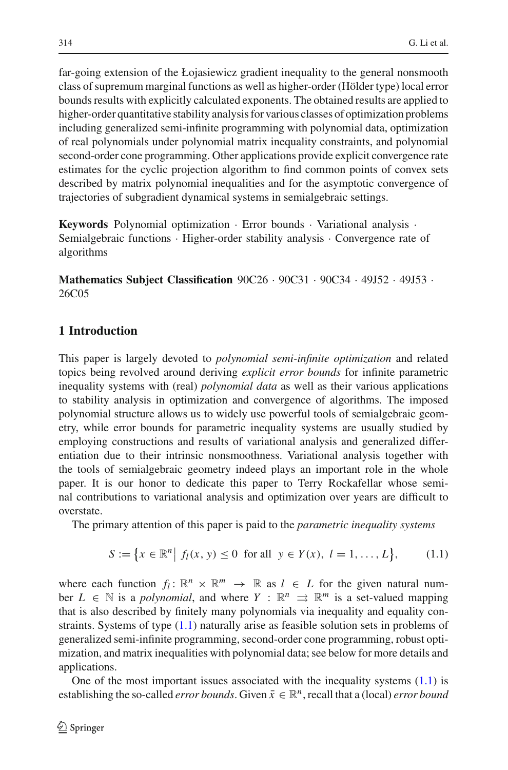far-going extension of the Łojasiewicz gradient inequality to the general nonsmooth class of supremum marginal functions as well as higher-order (Hölder type) local error bounds results with explicitly calculated exponents. The obtained results are applied to higher-order quantitative stability analysis for various classes of optimization problems including generalized semi-infinite programming with polynomial data, optimization of real polynomials under polynomial matrix inequality constraints, and polynomial second-order cone programming. Other applications provide explicit convergence rate estimates for the cyclic projection algorithm to find common points of convex sets described by matrix polynomial inequalities and for the asymptotic convergence of trajectories of subgradient dynamical systems in semialgebraic settings.

**Keywords** Polynomial optimization · Error bounds · Variational analysis · Semialgebraic functions · Higher-order stability analysis · Convergence rate of algorithms

**Mathematics Subject Classification** 90C26 · 90C31 · 90C34 · 49J52 · 49J53 · 26C05

## **1 Introduction**

This paper is largely devoted to *polynomial semi-infinite optimization* and related topics being revolved around deriving *explicit error bounds* for infinite parametric inequality systems with (real) *polynomial data* as well as their various applications to stability analysis in optimization and convergence of algorithms. The imposed polynomial structure allows us to widely use powerful tools of semialgebraic geometry, while error bounds for parametric inequality systems are usually studied by employing constructions and results of variational analysis and generalized differentiation due to their intrinsic nonsmoothness. Variational analysis together with the tools of semialgebraic geometry indeed plays an important role in the whole paper. It is our honor to dedicate this paper to Terry Rockafellar whose seminal contributions to variational analysis and optimization over years are difficult to overstate.

The primary attention of this paper is paid to the *parametric inequality systems*

$$
S := \{ x \in \mathbb{R}^n \mid f_l(x, y) \le 0 \text{ for all } y \in Y(x), \ l = 1, ..., L \},
$$
 (1.1)

<span id="page-1-0"></span>where each function  $f_l: \mathbb{R}^n \times \mathbb{R}^m \to \mathbb{R}$  as  $l \in L$  for the given natural number  $L \in \mathbb{N}$  is a *polynomial*, and where  $Y : \mathbb{R}^n \implies \mathbb{R}^m$  is a set-valued mapping that is also described by finitely many polynomials via inequality and equality constraints. Systems of type [\(1.1\)](#page-1-0) naturally arise as feasible solution sets in problems of generalized semi-infinite programming, second-order cone programming, robust optimization, and matrix inequalities with polynomial data; see below for more details and applications.

One of the most important issues associated with the inequality systems  $(1.1)$  is establishing the so-called *error bounds*. Given  $\bar{x} \in \mathbb{R}^n$ , recall that a (local) *error bound*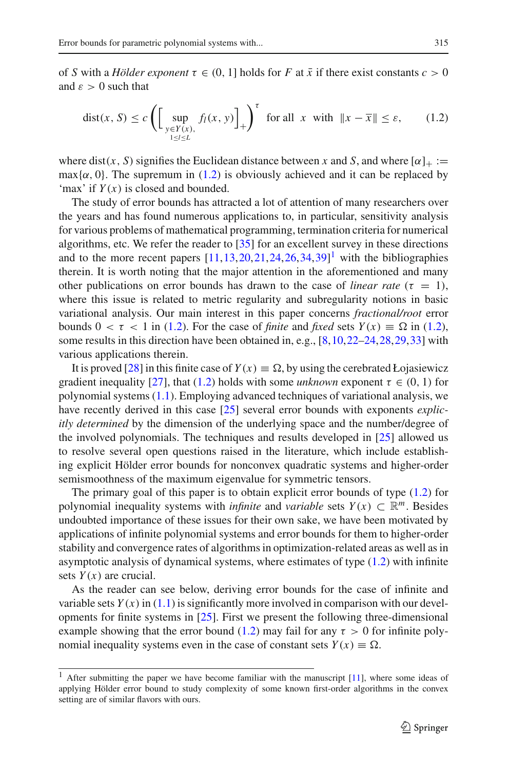<span id="page-2-0"></span>of *S* with a *Hölder exponent*  $\tau \in (0, 1]$  holds for *F* at  $\bar{x}$  if there exist constants  $c > 0$ and  $\varepsilon > 0$  such that

$$
dist(x, S) \le c \left( \left[ \sup_{\substack{y \in Y(x), \\ 1 \le l \le L}} f_l(x, y) \right]_+ \right)^{\tau} \text{ for all } x \text{ with } \|x - \overline{x}\| \le \varepsilon, \qquad (1.2)
$$

where dist(x, S) signifies the Euclidean distance between x and S, and where  $[\alpha]_+ :=$ max $\{\alpha, 0\}$ . The supremum in [\(1.2\)](#page-2-0) is obviously achieved and it can be replaced by 'max' if *Y* (*x*) is closed and bounded.

The study of error bounds has attracted a lot of attention of many researchers over the years and has found numerous applications to, in particular, sensitivity analysis for various problems of mathematical programming, termination criteria for numerical algorithms, etc. We refer the reader to [\[35](#page-33-0)] for an excellent survey in these directions and to the more recent papers  $[11, 13, 20, 21, 24, 26, 34, 39]$  $[11, 13, 20, 21, 24, 26, 34, 39]$  $[11, 13, 20, 21, 24, 26, 34, 39]$  $[11, 13, 20, 21, 24, 26, 34, 39]$  $[11, 13, 20, 21, 24, 26, 34, 39]$  $[11, 13, 20, 21, 24, 26, 34, 39]$  $[11, 13, 20, 21, 24, 26, 34, 39]$  $[11, 13, 20, 21, 24, 26, 34, 39]$  $[11, 13, 20, 21, 24, 26, 34, 39]$  $[11, 13, 20, 21, 24, 26, 34, 39]$  $[11, 13, 20, 21, 24, 26, 34, 39]$ <sup>[1](#page-2-1)</sup> with the bibliographies therein. It is worth noting that the major attention in the aforementioned and many other publications on error bounds has drawn to the case of *linear rate* ( $\tau = 1$ ), where this issue is related to metric regularity and subregularity notions in basic variational analysis. Our main interest in this paper concerns *fractional/root* error bounds  $0 < \tau < 1$  in [\(1.2\)](#page-2-0). For the case of *finite* and *fixed* sets  $Y(x) \equiv \Omega$  in (1.2), some results in this direction have been obtained in, e.g., [\[8](#page-32-2)[,10](#page-32-3)[,22](#page-33-7)[–24](#page-33-3)[,28](#page-33-8),[29,](#page-33-9)[33\]](#page-33-10) with various applications therein.

It is proved [\[28\]](#page-33-8) in this finite case of  $Y(x) \equiv \Omega$ , by using the cerebrated Łojasiewicz gradient inequality [\[27\]](#page-33-11), that [\(1.2\)](#page-2-0) holds with some *unknown* exponent  $\tau \in (0, 1)$  for polynomial systems [\(1.1\)](#page-1-0). Employing advanced techniques of variational analysis, we have recently derived in this case [\[25\]](#page-33-12) several error bounds with exponents *explicitly determined* by the dimension of the underlying space and the number/degree of the involved polynomials. The techniques and results developed in [\[25](#page-33-12)] allowed us to resolve several open questions raised in the literature, which include establishing explicit Hölder error bounds for nonconvex quadratic systems and higher-order semismoothness of the maximum eigenvalue for symmetric tensors.

The primary goal of this paper is to obtain explicit error bounds of type [\(1.2\)](#page-2-0) for polynomial inequality systems with *infinite* and *variable* sets  $Y(x) \subset \mathbb{R}^m$ . Besides undoubted importance of these issues for their own sake, we have been motivated by applications of infinite polynomial systems and error bounds for them to higher-order stability and convergence rates of algorithms in optimization-related areas as well as in asymptotic analysis of dynamical systems, where estimates of type [\(1.2\)](#page-2-0) with infinite sets  $Y(x)$  are crucial.

As the reader can see below, deriving error bounds for the case of infinite and variable sets  $Y(x)$  in [\(1.1\)](#page-1-0) is significantly more involved in comparison with our developments for finite systems in [\[25\]](#page-33-12). First we present the following three-dimensional example showing that the error bound [\(1.2\)](#page-2-0) may fail for any  $\tau > 0$  for infinite polynomial inequality systems even in the case of constant sets  $Y(x) \equiv \Omega$ .

<span id="page-2-2"></span><span id="page-2-1"></span><sup>&</sup>lt;sup>1</sup> After submitting the paper we have become familiar with the manuscript  $[11]$  $[11]$ , where some ideas of applying Hölder error bound to study complexity of some known first-order algorithms in the convex setting are of similar flavors with ours.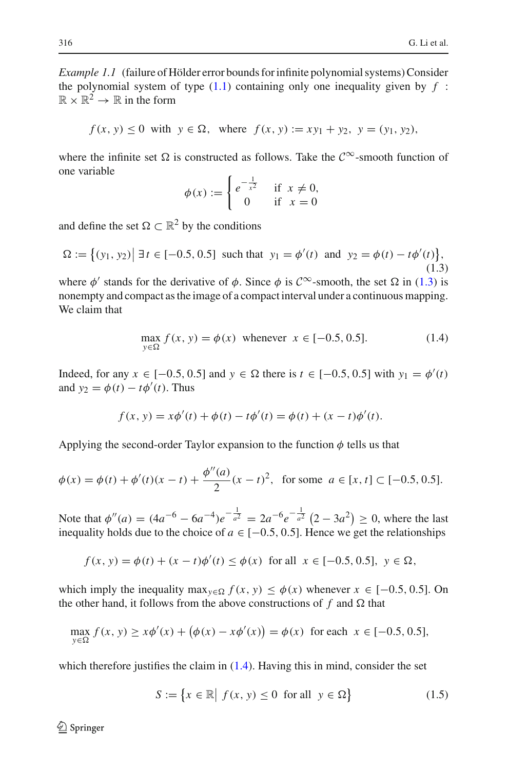*Example 1.1* (failure of Hölder error bounds for infinite polynomial systems) Consider the polynomial system of type  $(1.1)$  containing only one inequality given by  $f$ :  $\mathbb{R} \times \mathbb{R}^2 \to \mathbb{R}$  in the form

$$
f(x, y) \le 0
$$
 with  $y \in \Omega$ , where  $f(x, y) := xy_1 + y_2$ ,  $y = (y_1, y_2)$ ,

where the infinite set  $\Omega$  is constructed as follows. Take the  $\mathcal{C}^{\infty}$ -smooth function of one variable

$$
\phi(x) := \begin{cases} e^{-\frac{1}{x^2}} & \text{if } x \neq 0, \\ 0 & \text{if } x = 0 \end{cases}
$$

and define the set  $\Omega \subset \mathbb{R}^2$  by the conditions

<span id="page-3-0"></span>
$$
\Omega := \left\{ (y_1, y_2) \middle| \exists t \in [-0.5, 0.5] \text{ such that } y_1 = \phi'(t) \text{ and } y_2 = \phi(t) - t\phi'(t) \right\},\tag{1.3}
$$

where  $\phi'$  stands for the derivative of  $\phi$ . Since  $\phi$  is  $C^{\infty}$ -smooth, the set  $\Omega$  in [\(1.3\)](#page-3-0) is nonempty and compact as the image of a compact interval under a continuous mapping. We claim that

$$
\max_{y \in \Omega} f(x, y) = \phi(x) \text{ whenever } x \in [-0.5, 0.5].
$$
 (1.4)

<span id="page-3-1"></span>Indeed, for any *x* ∈ [−0.5, 0.5] and *y* ∈ Ω there is *t* ∈ [−0.5, 0.5] with *y*<sub>1</sub> =  $\phi'(t)$ and  $y_2 = \phi(t) - t\phi'(t)$ . Thus

$$
f(x, y) = x\phi'(t) + \phi(t) - t\phi'(t) = \phi(t) + (x - t)\phi'(t).
$$

Applying the second-order Taylor expansion to the function  $\phi$  tells us that

$$
\phi(x) = \phi(t) + \phi'(t)(x - t) + \frac{\phi''(a)}{2}(x - t)^2, \text{ for some } a \in [x, t] \subset [-0.5, 0.5].
$$

Note that  $\phi''(a) = (4a^{-6} - 6a^{-4})e^{-\frac{1}{a^2}} = 2a^{-6}e^{-\frac{1}{a^2}} (2 - 3a^2) \ge 0$ , where the last inequality holds due to the choice of  $a \in [-0.5, 0.5]$ . Hence we get the relationships

$$
f(x, y) = \phi(t) + (x - t)\phi'(t) \le \phi(x) \text{ for all } x \in [-0.5, 0.5], y \in \Omega,
$$

which imply the inequality max<sub> $y \in \Omega$ </sub>  $f(x, y) \leq \phi(x)$  whenever  $x \in [-0.5, 0.5]$ . On the other hand, it follows from the above constructions of  $f$  and  $\Omega$  that

$$
\max_{y \in \Omega} f(x, y) \ge x\phi'(x) + (\phi(x) - x\phi'(x)) = \phi(x) \text{ for each } x \in [-0.5, 0.5],
$$

<span id="page-3-2"></span>which therefore justifies the claim in  $(1.4)$ . Having this in mind, consider the set

$$
S := \{ x \in \mathbb{R} \mid f(x, y) \le 0 \text{ for all } y \in \Omega \}
$$
 (1.5)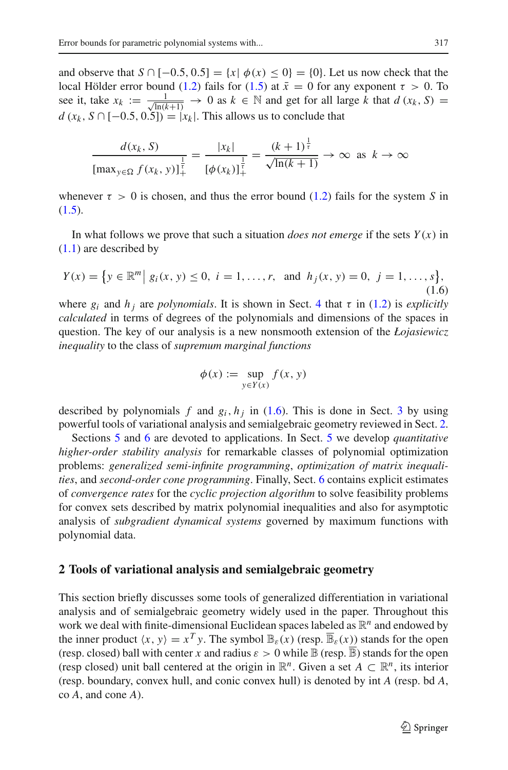and observe that  $S \cap [-0.5, 0.5] = \{x \mid \phi(x) \leq 0\} = \{0\}$ . Let us now check that the local Hölder error bound [\(1.2\)](#page-2-0) fails for [\(1.5\)](#page-3-2) at  $\bar{x} = 0$  for any exponent  $\tau > 0$ . To see it, take  $x_k := \frac{1}{\sqrt{\ln(k+1)}} \to 0$  as  $k \in \mathbb{N}$  and get for all large *k* that  $d(x_k, S) =$  $d(x_k, S \cap [-0.5, 0.5]) = |x_k|$ . This allows us to conclude that

$$
\frac{d(x_k, S)}{[\max_{y \in \Omega} f(x_k, y)]_+^{\frac{1}{\tau}}} = \frac{|x_k|}{[\phi(x_k)]_+^{\frac{1}{\tau}}} = \frac{(k+1)^{\frac{1}{\tau}}}{\sqrt{\ln(k+1)}} \to \infty \text{ as } k \to \infty
$$

whenever  $\tau > 0$  is chosen, and thus the error bound [\(1.2\)](#page-2-0) fails for the system *S* in  $(1.5).$  $(1.5).$ 

In what follows we prove that such a situation *does not emerge* if the sets  $Y(x)$  in [\(1.1\)](#page-1-0) are described by

<span id="page-4-0"></span>
$$
Y(x) = \{ y \in \mathbb{R}^m \mid g_i(x, y) \le 0, \ i = 1, \dots, r, \text{ and } h_j(x, y) = 0, \ j = 1, \dots, s \},
$$
\n(1.6)

where  $g_i$  and  $h_j$  are *polynomials*. It is shown in Sect. [4](#page-16-0) that  $\tau$  in [\(1.2\)](#page-2-0) is *explicitly calculated* in terms of degrees of the polynomials and dimensions of the spaces in question. The key of our analysis is a new nonsmooth extension of the *Łojasiewicz inequality* to the class of *supremum marginal functions*

$$
\phi(x) := \sup_{y \in Y(x)} f(x, y)
$$

described by polynomials  $f$  and  $g_i$ ,  $h_j$  in [\(1.6\)](#page-4-0). This is done in Sect. [3](#page-6-0) by using powerful tools of variational analysis and semialgebraic geometry reviewed in Sect. [2.](#page-4-1)

Sections [5](#page-22-0) and [6](#page-27-0) are devoted to applications. In Sect. [5](#page-22-0) we develop *quantitative higher-order stability analysis* for remarkable classes of polynomial optimization problems: *generalized semi-infinite programming*, *optimization of matrix inequalities*, and *second-order cone programming*. Finally, Sect. [6](#page-27-0) contains explicit estimates of *convergence rates* for the *cyclic projection algorithm* to solve feasibility problems for convex sets described by matrix polynomial inequalities and also for asymptotic analysis of *subgradient dynamical systems* governed by maximum functions with polynomial data.

#### <span id="page-4-1"></span>**2 Tools of variational analysis and semialgebraic geometry**

This section briefly discusses some tools of generalized differentiation in variational analysis and of semialgebraic geometry widely used in the paper. Throughout this work we deal with finite-dimensional Euclidean spaces labeled as  $\mathbb{R}^n$  and endowed by the inner product  $\langle x, y \rangle = x^T y$ . The symbol  $\mathbb{B}_{\varepsilon}(x)$  (resp.  $\overline{\mathbb{B}}_{\varepsilon}(x)$ ) stands for the open (resp. closed) ball with center *x* and radius  $\varepsilon > 0$  while  $\mathbb B$  (resp.  $\overline{\mathbb B}$ ) stands for the open (resp closed) unit ball centered at the origin in  $\mathbb{R}^n$ . Given a set  $A \subset \mathbb{R}^n$ , its interior (resp. boundary, convex hull, and conic convex hull) is denoted by int *A* (resp. bd *A*, co *A*, and cone *A*).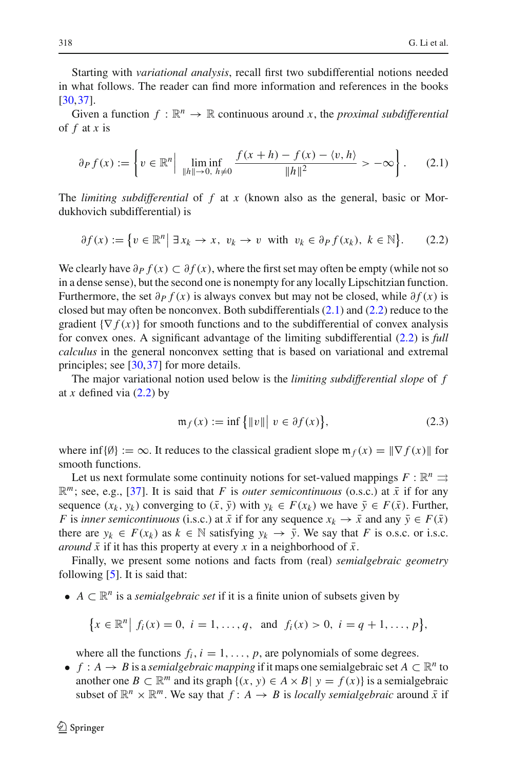Starting with *variational analysis*, recall first two subdifferential notions needed in what follows. The reader can find more information and references in the books [\[30](#page-33-13)[,37](#page-33-14)].

Given a function  $f : \mathbb{R}^n \to \mathbb{R}$  continuous around x, the *proximal subdifferential* of *f* at *x* is

$$
\partial_P f(x) := \left\{ v \in \mathbb{R}^n \Big| \liminf_{\|h\| \to 0, \ h \neq 0} \frac{f(x+h) - f(x) - \langle v, h \rangle}{\|h\|^2} > -\infty \right\}.
$$
 (2.1)

<span id="page-5-0"></span>The *limiting subdifferential* of *f* at *x* (known also as the general, basic or Mordukhovich subdifferential) is

$$
\partial f(x) := \{ v \in \mathbb{R}^n \mid \exists x_k \to x, \ v_k \to v \text{ with } v_k \in \partial_P f(x_k), \ k \in \mathbb{N} \}. \tag{2.2}
$$

<span id="page-5-1"></span>We clearly have  $\partial P f(x) \subset \partial f(x)$ , where the first set may often be empty (while not so in a dense sense), but the second one is nonempty for any locally Lipschitzian function. Furthermore, the set  $\partial P f(x)$  is always convex but may not be closed, while  $\partial f(x)$  is closed but may often be nonconvex. Both subdifferentials [\(2.1\)](#page-5-0) and [\(2.2\)](#page-5-1) reduce to the gradient  $\{\nabla f(x)\}\$ for smooth functions and to the subdifferential of convex analysis for convex ones. A significant advantage of the limiting subdifferential [\(2.2\)](#page-5-1) is *full calculus* in the general nonconvex setting that is based on variational and extremal principles; see [\[30](#page-33-13)[,37](#page-33-14)] for more details.

The major variational notion used below is the *limiting subdifferential slope* of *f* at *x* defined via  $(2.2)$  by

$$
\mathfrak{m}_f(x) := \inf \{ \|v\| \mid v \in \partial f(x) \},\tag{2.3}
$$

<span id="page-5-2"></span>where  $\inf \{ \emptyset \} := \infty$ . It reduces to the classical gradient slope  $\mathfrak{m}_f(x) = || \nabla f(x) ||$  for smooth functions.

Let us next formulate some continuity notions for set-valued mappings  $F : \mathbb{R}^n \rightrightarrows$  $\mathbb{R}^m$ ; see, e.g., [\[37](#page-33-14)]. It is said that *F* is *outer semicontinuous* (o.s.c.) at  $\bar{x}$  if for any sequence  $(x_k, y_k)$  converging to  $(\bar{x}, \bar{y})$  with  $y_k \in F(x_k)$  we have  $\bar{y} \in F(\bar{x})$ . Further, *F* is *inner semicontinuous* (i.s.c.) at  $\bar{x}$  if for any sequence  $x_k \to \bar{x}$  and any  $\bar{y} \in F(\bar{x})$ there are  $y_k \in F(x_k)$  as  $k \in \mathbb{N}$  satisfying  $y_k \to \bar{y}$ . We say that *F* is o.s.c. or i.s.c. *around*  $\bar{x}$  if it has this property at every *x* in a neighborhood of  $\bar{x}$ .

Finally, we present some notions and facts from (real) *semialgebraic geometry* following  $[5]$  $[5]$ . It is said that:

•  $A \subset \mathbb{R}^n$  is a *semialgebraic set* if it is a finite union of subsets given by

$$
\{x \in \mathbb{R}^n \mid f_i(x) = 0, \ i = 1, \dots, q, \text{ and } f_i(x) > 0, \ i = q + 1, \dots, p\},\
$$

where all the functions  $f_i$ ,  $i = 1, \ldots, p$ , are polynomials of some degrees.

•  $f : A \to B$  is a *semialgebraic mapping* if it maps one semialgebraic set  $A \subset \mathbb{R}^n$  to another one  $B \subset \mathbb{R}^m$  and its graph  $\{(x, y) \in A \times B | y = f(x)\}$  is a semialgebraic subset of  $\mathbb{R}^n \times \mathbb{R}^m$ . We say that  $f: A \rightarrow B$  is *locally semialgebraic* around  $\bar{x}$  if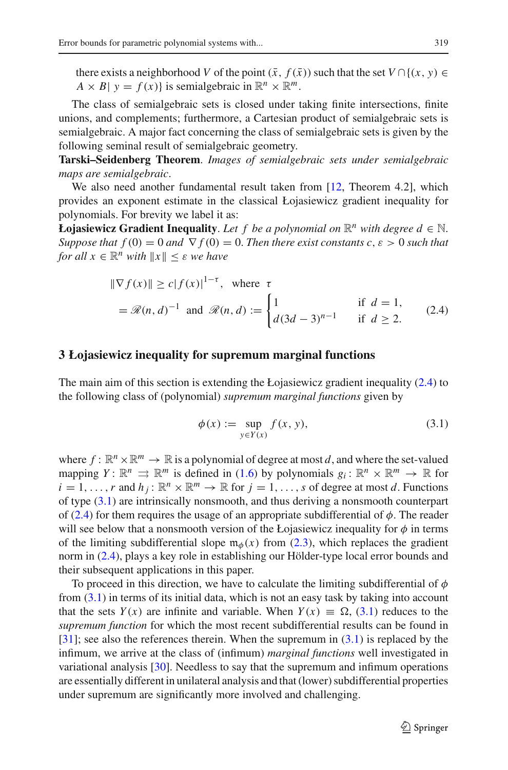there exists a neighborhood *V* of the point  $(\bar{x}, f(\bar{x}))$  such that the set  $V \cap \{(x, y) \in$  $A \times B$ |  $y = f(x)$ } is semialgebraic in  $\mathbb{R}^n \times \mathbb{R}^m$ .

The class of semialgebraic sets is closed under taking finite intersections, finite unions, and complements; furthermore, a Cartesian product of semialgebraic sets is semialgebraic. A major fact concerning the class of semialgebraic sets is given by the following seminal result of semialgebraic geometry.

**Tarski–Seidenberg Theorem**. *Images of semialgebraic sets under semialgebraic maps are semialgebraic*.

We also need another fundamental result taken from [\[12,](#page-32-5) Theorem 4.2], which provides an exponent estimate in the classical Łojasiewicz gradient inequality for polynomials. For brevity we label it as:

<span id="page-6-1"></span>**Łojasiewicz Gradient Inequality**. Let f be a polynomial on  $\mathbb{R}^n$  with degree  $d \in \mathbb{N}$ . *Suppose that*  $f(0) = 0$  *and*  $\nabla f(0) = 0$ *. Then there exist constants c, ε > 0 such that for all*  $x \in \mathbb{R}^n$  *with*  $||x|| \leq \varepsilon$  *we have* 

$$
\|\nabla f(x)\| \ge c|f(x)|^{1-\tau}, \text{ where } \tau
$$
  
=  $\Re(n, d)^{-1}$  and  $\Re(n, d) := \begin{cases} 1 & \text{if } d = 1, \\ d(3d - 3)^{n-1} & \text{if } d \ge 2. \end{cases}$  (2.4)

## <span id="page-6-0"></span>**3 Łojasiewicz inequality for supremum marginal functions**

The main aim of this section is extending the Łojasiewicz gradient inequality [\(2.4\)](#page-6-1) to the following class of (polynomial) *supremum marginal functions* given by

$$
\phi(x) := \sup_{y \in Y(x)} f(x, y),\tag{3.1}
$$

<span id="page-6-2"></span>where  $f : \mathbb{R}^n \times \mathbb{R}^m \to \mathbb{R}$  is a polynomial of degree at most *d*, and where the set-valued mapping  $Y: \mathbb{R}^n \implies \mathbb{R}^m$  is defined in [\(1.6\)](#page-4-0) by polynomials  $g_i: \mathbb{R}^n \times \mathbb{R}^m \to \mathbb{R}$  for  $i = 1, \ldots, r$  and  $h_j : \mathbb{R}^n \times \mathbb{R}^m \to \mathbb{R}$  for  $j = 1, \ldots, s$  of degree at most *d*. Functions of type [\(3.1\)](#page-6-2) are intrinsically nonsmooth, and thus deriving a nonsmooth counterpart of [\(2.4\)](#page-6-1) for them requires the usage of an appropriate subdifferential of  $\phi$ . The reader will see below that a nonsmooth version of the Łojasiewicz inequality for  $\phi$  in terms of the limiting subdifferential slope  $m_{\phi}(x)$  from [\(2.3\)](#page-5-2), which replaces the gradient norm in [\(2.4\)](#page-6-1), plays a key role in establishing our Hölder-type local error bounds and their subsequent applications in this paper.

To proceed in this direction, we have to calculate the limiting subdifferential of  $\phi$ from [\(3.1\)](#page-6-2) in terms of its initial data, which is not an easy task by taking into account that the sets  $Y(x)$  are infinite and variable. When  $Y(x) \equiv \Omega$ , [\(3.1\)](#page-6-2) reduces to the *supremum function* for which the most recent subdifferential results can be found in [\[31](#page-33-15)]; see also the references therein. When the supremum in [\(3.1\)](#page-6-2) is replaced by the infimum, we arrive at the class of (infimum) *marginal functions* well investigated in variational analysis [\[30\]](#page-33-13). Needless to say that the supremum and infimum operations are essentially different in unilateral analysis and that (lower) subdifferential properties under supremum are significantly more involved and challenging.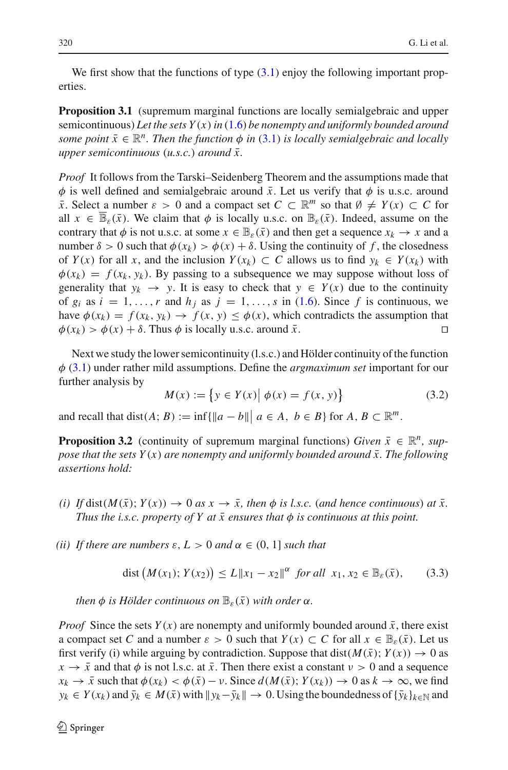<span id="page-7-0"></span>We first show that the functions of type  $(3.1)$  enjoy the following important properties.

**Proposition 3.1** (supremum marginal functions are locally semialgebraic and upper semicontinuous) *Let the sets Y* (*x*)*in* [\(1.6\)](#page-4-0) *be nonempty and uniformly bounded around some point*  $\bar{x} \in \mathbb{R}^n$ . Then the function  $\phi$  in [\(3.1\)](#page-6-2) is locally semialgebraic and locally *upper semicontinuous* (*u.s.c.*) *around*  $\bar{x}$ .

*Proof* It follows from the Tarski–Seidenberg Theorem and the assumptions made that  $\phi$  is well defined and semialgebraic around  $\bar{x}$ . Let us verify that  $\phi$  is u.s.c. around  $\bar{x}$ . Select a number  $\varepsilon > 0$  and a compact set  $C \subset \mathbb{R}^m$  so that  $\emptyset \neq Y(x) \subset C$  for all  $x \in \mathbb{B}_{\varepsilon}(\bar{x})$ . We claim that  $\phi$  is locally u.s.c. on  $\mathbb{B}_{\varepsilon}(\bar{x})$ . Indeed, assume on the contrary that  $\phi$  is not u.s.c. at some  $x \in \mathbb{B}_{\varepsilon}(\bar{x})$  and then get a sequence  $x_k \to x$  and a number  $\delta > 0$  such that  $\phi(x_k) > \phi(x) + \delta$ . Using the continuity of f, the closedness of  $Y(x)$  for all x, and the inclusion  $Y(x_k) \subset C$  allows us to find  $y_k \in Y(x_k)$  with  $\phi(x_k) = f(x_k, y_k)$ . By passing to a subsequence we may suppose without loss of generality that  $y_k \to y$ . It is easy to check that  $y \in Y(x)$  due to the continuity of  $g_i$  as  $i = 1, \ldots, r$  and  $h_j$  as  $j = 1, \ldots, s$  in [\(1.6\)](#page-4-0). Since f is continuous, we have  $\phi(x_k) = f(x_k, y_k) \rightarrow f(x, y) \leq \phi(x)$ , which contradicts the assumption that  $\phi(x_k) > \phi(x) + \delta$ . Thus  $\phi$  is locally u.s.c. around  $\bar{x}$ .

Next we study the lower semicontinuity (l.s.c.) and Hölder continuity of the function φ [\(3.1\)](#page-6-2) under rather mild assumptions. Define the *argmaximum set* important for our further analysis by

$$
M(x) := \{ y \in Y(x) | \phi(x) = f(x, y) \}
$$
 (3.2)

<span id="page-7-3"></span><span id="page-7-2"></span>and recall that dist(*A*; *B*) := inf{ $\|a - b\|$   $a \in A$ ,  $b \in B$ } for  $A, B \subset \mathbb{R}^m$ .

**Proposition 3.2** (continuity of supremum marginal functions) *Given*  $\bar{x} \in \mathbb{R}^n$ , *suppose that the sets Y(x) are nonempty and uniformly bounded around*  $\bar{x}$ . The following *assertions hold:*

- $(i)$  If dist $(M(\bar{x}); Y(x)) \to 0$  *as*  $x \to \bar{x}$ , then  $\phi$  *is l.s.c.* (*and hence continuous*) *at*  $\bar{x}$ . *Thus the i.s.c. property of Y at*  $\bar{x}$  ensures that  $\phi$  *is continuous at this point.*
- <span id="page-7-1"></span>*(ii)* If there are numbers  $\varepsilon$ ,  $L > 0$  and  $\alpha \in (0, 1]$  such that

$$
\text{dist}\left(M(x_1); Y(x_2)\right) \le L \|x_1 - x_2\|^{\alpha} \text{ for all } x_1, x_2 \in \mathbb{B}_{\varepsilon}(\bar{x}), \qquad (3.3)
$$

*then*  $\phi$  *is Hölder continuous on*  $\mathbb{B}_{\varepsilon}(\bar{x})$  *with order*  $\alpha$ *.* 

*Proof* Since the sets  $Y(x)$  are nonempty and uniformly bounded around  $\bar{x}$ , there exist a compact set *C* and a number  $\varepsilon > 0$  such that  $Y(x) \subset C$  for all  $x \in \mathbb{B}_{\varepsilon}(\bar{x})$ . Let us first verify (i) while arguing by contradiction. Suppose that dist( $M(\bar{x})$ ;  $Y(x)$ )  $\rightarrow 0$  as  $x \rightarrow \bar{x}$  and that  $\phi$  is not l.s.c. at  $\bar{x}$ . Then there exist a constant  $v > 0$  and a sequence  $x_k \to \bar{x}$  such that  $\phi(x_k) < \phi(\bar{x}) - \nu$ . Since  $d(M(\bar{x}); Y(x_k)) \to 0$  as  $k \to \infty$ , we find  $y_k \in Y(x_k)$  and  $\bar{y}_k \in M(\bar{x})$  with  $|y_k - \bar{y}_k| \to 0$ . Using the boundedness of  $\{\bar{y}_k\}_{k \in \mathbb{N}}$  and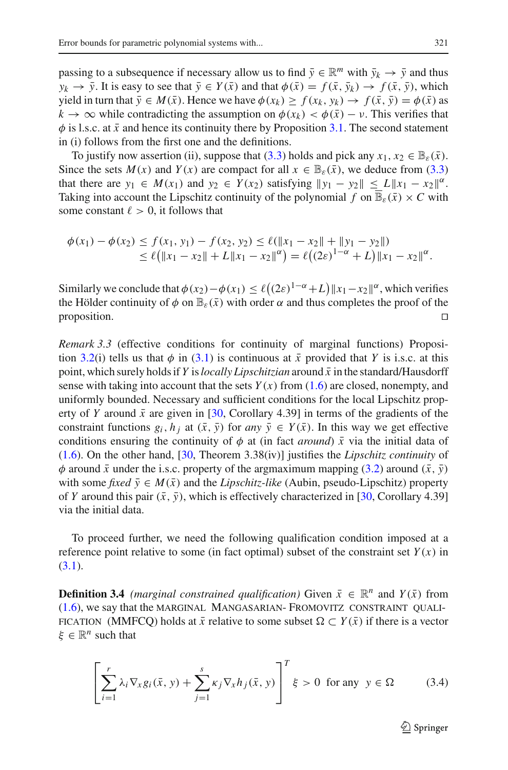passing to a subsequence if necessary allow us to find  $\bar{y} \in \mathbb{R}^m$  with  $\bar{y}_k \to \bar{y}$  and thus  $y_k \to \bar{y}$ . It is easy to see that  $\bar{y} \in Y(\bar{x})$  and that  $\phi(\bar{x}) = f(\bar{x}, \bar{y}_k) \to f(\bar{x}, \bar{y})$ , which yield in turn that  $\bar{y} \in M(\bar{x})$ . Hence we have  $\phi(x_k) \ge f(x_k, y_k) \to f(\bar{x}, \bar{y}) = \phi(\bar{x})$  as  $k \to \infty$  while contradicting the assumption on  $\phi(x_k) < \phi(\bar{x}) - \nu$ . This verifies that  $\phi$  is l.s.c. at  $\bar{x}$  and hence its continuity there by Proposition [3.1.](#page-7-0) The second statement in (i) follows from the first one and the definitions.

To justify now assertion (ii), suppose that [\(3.3\)](#page-7-1) holds and pick any  $x_1, x_2 \in \mathbb{B}_{\epsilon}(\bar{x})$ . Since the sets  $M(x)$  and  $Y(x)$  are compact for all  $x \in \mathbb{B}_{\varepsilon}(\bar{x})$ , we deduce from [\(3.3\)](#page-7-1) that there are  $y_1 \in M(x_1)$  and  $y_2 \in Y(x_2)$  satisfying  $||y_1 - y_2|| \le L||x_1 - x_2||^{\alpha}$ . Taking into account the Lipschitz continuity of the polynomial *f* on  $\mathbb{B}_{\varepsilon}(\bar{x}) \times C$  with some constant  $\ell > 0$ , it follows that

$$
\begin{aligned} \phi(x_1) - \phi(x_2) &\le f(x_1, y_1) - f(x_2, y_2) \le \ell(\|x_1 - x_2\| + \|y_1 - y_2\|) \\ &\le \ell(\|x_1 - x_2\| + L\|x_1 - x_2\|^{\alpha}) = \ell((2\varepsilon)^{1-\alpha} + L)\|x_1 - x_2\|^{\alpha}. \end{aligned}
$$

Similarly we conclude that  $\phi(x_2) - \phi(x_1) \le \ell((2\varepsilon)^{1-\alpha} + L) ||x_1 - x_2||^{\alpha}$ , which verifies the Hölder continuity of  $\phi$  on  $\mathbb{B}_{\varepsilon}(\bar{x})$  with order  $\alpha$  and thus completes the proof of the proposition. proposition.  $\Box$ 

*Remark 3.3* (effective conditions for continuity of marginal functions) Proposi-tion [3.2\(](#page-7-2)i) tells us that  $\phi$  in [\(3.1\)](#page-6-2) is continuous at  $\bar{x}$  provided that *Y* is i.s.c. at this point, which surely holds if *Y* is *locally Lipschitzian* around  $\bar{x}$  in the standard/Hausdorff sense with taking into account that the sets  $Y(x)$  from [\(1.6\)](#page-4-0) are closed, nonempty, and uniformly bounded. Necessary and sufficient conditions for the local Lipschitz property of *Y* around  $\bar{x}$  are given in [\[30](#page-33-13), Corollary 4.39] in terms of the gradients of the constraint functions  $g_i$ ,  $h_j$  at  $(\bar{x}, \bar{y})$  for *any*  $\bar{y} \in Y(\bar{x})$ . In this way we get effective conditions ensuring the continuity of  $\phi$  at (in fact *around*)  $\bar{x}$  via the initial data of [\(1.6\)](#page-4-0). On the other hand, [\[30,](#page-33-13) Theorem 3.38(iv)] justifies the *Lipschitz continuity* of  $\phi$  around  $\bar{x}$  under the i.s.c. property of the argmaximum mapping [\(3.2\)](#page-7-3) around ( $\bar{x}$ ,  $\bar{y}$ ) with some *fixed*  $\bar{y} \in M(\bar{x})$  and the *Lipschitz-like* (Aubin, pseudo-Lipschitz) property of *Y* around this pair  $(\bar{x}, \bar{y})$ , which is effectively characterized in [\[30](#page-33-13), Corollary 4.39] via the initial data.

<span id="page-8-1"></span>To proceed further, we need the following qualification condition imposed at a reference point relative to some (in fact optimal) subset of the constraint set  $Y(x)$  in  $(3.1).$  $(3.1).$ 

**Definition 3.4** *(marginal constrained qualification)* Given  $\bar{x} \in \mathbb{R}^n$  and  $Y(\bar{x})$  from [\(1.6\)](#page-4-0), we say that the marginal Mangasarian- Fromovitz constraint quali-FICATION (MMFCQ) holds at  $\bar{x}$  relative to some subset  $\Omega \subset Y(\bar{x})$  if there is a vector  $\xi \in \mathbb{R}^n$  such that

<span id="page-8-0"></span>
$$
\left[\sum_{i=1}^{r} \lambda_i \nabla_x g_i(\bar{x}, y) + \sum_{j=1}^{s} \kappa_j \nabla_x h_j(\bar{x}, y)\right]^T \xi > 0 \text{ for any } y \in \Omega \tag{3.4}
$$

 $\mathcal{L}$  Springer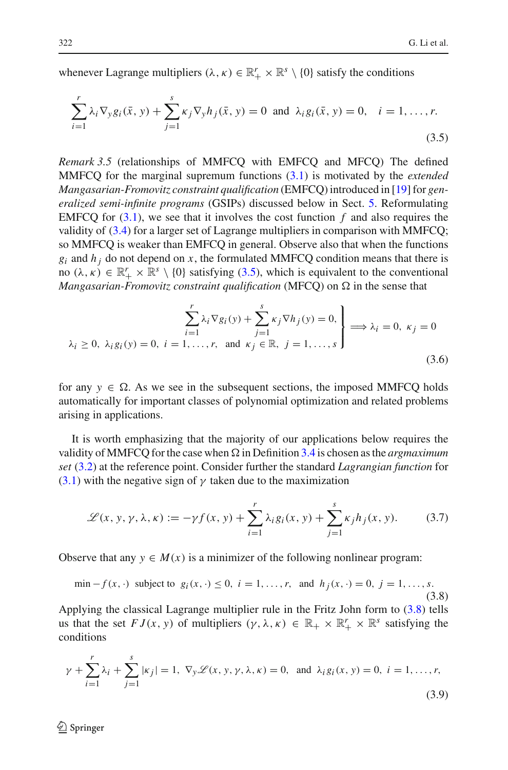<span id="page-9-0"></span>whenever Lagrange multipliers  $(\lambda, \kappa) \in \mathbb{R}_+^r \times \mathbb{R}^s \setminus \{0\}$  satisfy the conditions

$$
\sum_{i=1}^{r} \lambda_i \nabla_y g_i(\bar{x}, y) + \sum_{j=1}^{s} \kappa_j \nabla_y h_j(\bar{x}, y) = 0 \text{ and } \lambda_i g_i(\bar{x}, y) = 0, \quad i = 1, ..., r.
$$
\n(3.5)

*Remark 3.5* (relationships of MMFCQ with EMFCQ and MFCQ) The defined MMFCQ for the marginal supremum functions [\(3.1\)](#page-6-2) is motivated by the *extended Mangasarian-Fromovitz constraint qualification* (EMFCQ) introduced in [\[19](#page-33-16)] for *generalized semi-infinite programs* (GSIPs) discussed below in Sect. [5.](#page-22-0) Reformulating EMFCQ for  $(3.1)$ , we see that it involves the cost function  $f$  and also requires the validity of [\(3.4\)](#page-8-0) for a larger set of Lagrange multipliers in comparison with MMFCQ; so MMFCQ is weaker than EMFCQ in general. Observe also that when the functions  $g_i$  and  $h_j$  do not depend on x, the formulated MMFCQ condition means that there is no  $(\lambda, \kappa) \in \mathbb{R}_+^r \times \mathbb{R}^s \setminus \{0\}$  satisfying [\(3.5\)](#page-9-0), which is equivalent to the conventional *Mangasarian-Fromovitz constraint qualification* (MFCQ) on  $\Omega$  in the sense that

$$
\sum_{i=1}^{r} \lambda_i \nabla g_i(y) + \sum_{j=1}^{s} \kappa_j \nabla h_j(y) = 0,
$$
\n
$$
\lambda_i \ge 0, \ \lambda_i g_i(y) = 0, \ i = 1, \dots, r, \text{ and } \kappa_j \in \mathbb{R}, \ j = 1, \dots, s
$$
\n
$$
(3.6)
$$

for any  $y \in \Omega$ . As we see in the subsequent sections, the imposed MMFCQ holds automatically for important classes of polynomial optimization and related problems arising in applications.

It is worth emphasizing that the majority of our applications below requires the validity of MMFCQ for the case when  $\Omega$  in Definition [3.4](#page-8-1) is chosen as the *argmaximum set* [\(3.2\)](#page-7-3) at the reference point. Consider further the standard *Lagrangian function* for  $(3.1)$  with the negative sign of  $\gamma$  taken due to the maximization

$$
\mathcal{L}(x, y, \gamma, \lambda, \kappa) := -\gamma f(x, y) + \sum_{i=1}^{r} \lambda_i g_i(x, y) + \sum_{j=1}^{s} \kappa_j h_j(x, y). \tag{3.7}
$$

<span id="page-9-2"></span><span id="page-9-1"></span>Observe that any  $y \in M(x)$  is a minimizer of the following nonlinear program:

$$
\min - f(x, \cdot) \text{ subject to } g_i(x, \cdot) \le 0, \ i = 1, \dots, r, \text{ and } h_j(x, \cdot) = 0, \ j = 1, \dots, s. \tag{3.8}
$$

Applying the classical Lagrange multiplier rule in the Fritz John form to [\(3.8\)](#page-9-1) tells us that the set  $FJ(x, y)$  of multipliers  $(\gamma, \lambda, \kappa) \in \mathbb{R}_+ \times \mathbb{R}^r \times \mathbb{R}^s$  satisfying the conditions

$$
\gamma + \sum_{i=1}^{r} \lambda_i + \sum_{j=1}^{s} |\kappa_j| = 1, \ \nabla_y \mathcal{L}(x, y, \gamma, \lambda, \kappa) = 0, \text{ and } \lambda_i g_i(x, y) = 0, \ i = 1, \dots, r,
$$
\n(3.9)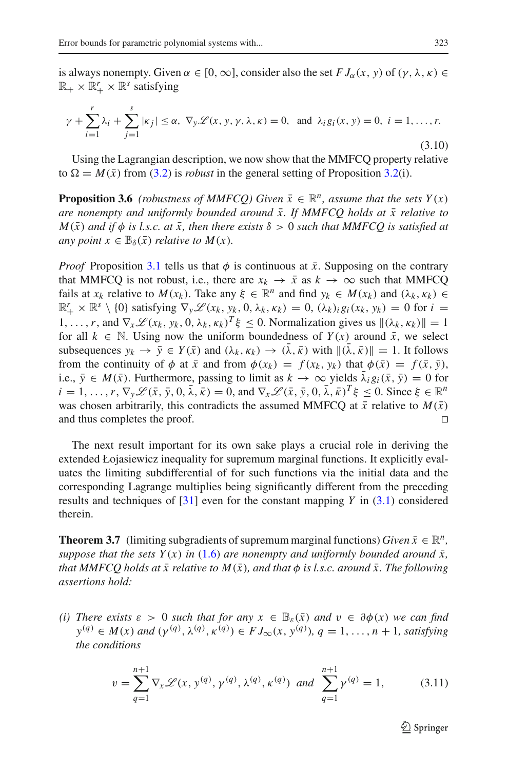is always nonempty. Given  $\alpha \in [0, \infty]$ , consider also the set  $FJ_{\alpha}(x, y)$  of  $(\gamma, \lambda, \kappa) \in$  $\mathbb{R}_+ \times \mathbb{R}^r_+ \times \mathbb{R}^s$  satisfying

<span id="page-10-0"></span>
$$
\gamma + \sum_{i=1}^{r} \lambda_i + \sum_{j=1}^{s} |\kappa_j| \le \alpha, \ \nabla_y \mathcal{L}(x, y, \gamma, \lambda, \kappa) = 0, \text{ and } \lambda_i g_i(x, y) = 0, \ i = 1, \dots, r.
$$
\n(3.10)

<span id="page-10-2"></span>Using the Lagrangian description, we now show that the MMFCQ property relative to  $\Omega = M(\bar{x})$  from [\(3.2\)](#page-7-3) is *robust* in the general setting of Proposition [3.2\(](#page-7-2)i).

**Proposition 3.6** *(robustness of MMFCQ)* Given  $\bar{x} \in \mathbb{R}^n$ , assume that the sets  $Y(x)$ *are nonempty and uniformly bounded around*  $\bar{x}$ . If MMFCQ holds at  $\bar{x}$  relative to  $M(\bar{x})$  *and if*  $\phi$  *is l.s.c. at*  $\bar{x}$ *, then there exists*  $\delta > 0$  *such that MMFCQ is satisfied at any point*  $x \in \mathbb{B}_{\delta}(\bar{x})$  *relative to M(x).* 

*Proof* Proposition [3.1](#page-7-0) tells us that  $\phi$  is continuous at  $\bar{x}$ . Supposing on the contrary that MMFCQ is not robust, i.e., there are  $x_k \to \bar{x}$  as  $k \to \infty$  such that MMFCQ fails at  $x_k$  relative to  $M(x_k)$ . Take any  $\xi \in \mathbb{R}^n$  and find  $y_k \in M(x_k)$  and  $(\lambda_k, \kappa_k) \in$  $\mathbb{R}_+^r \times \mathbb{R}^s \setminus \{0\}$  satisfying  $\nabla_y \mathscr{L}(x_k, y_k, 0, \lambda_k, \kappa_k) = 0$ ,  $(\lambda_k)_i g_i(x_k, y_k) = 0$  for  $i =$ 1,...,*r*, and  $\nabla_x \mathcal{L}(x_k, y_k, 0, \lambda_k, \kappa_k)^T \xi \leq 0$ . Normalization gives us  $\|(\lambda_k, \kappa_k)\| = 1$ for all  $k \in \mathbb{N}$ . Using now the uniform boundedness of  $Y(x)$  around  $\bar{x}$ , we select subsequences  $y_k \to \bar{y} \in Y(\bar{x})$  and  $(\lambda_k, \kappa_k) \to (\lambda, \bar{\kappa})$  with  $\|(\lambda, \bar{\kappa})\| = 1$ . It follows from the continuity of  $\phi$  at  $\bar{x}$  and from  $\phi(x_k) = f(x_k, y_k)$  that  $\phi(\bar{x}) = f(\bar{x}, \bar{y})$ , i.e.,  $\bar{y} \in M(\bar{x})$ . Furthermore, passing to limit as  $k \to \infty$  yields  $\lambda_i g_i(\bar{x}, \bar{y}) = 0$  for  $i = 1, \ldots, r$ ,  $\nabla_{\mathbf{v}} \mathscr{L}(\bar{x}, \bar{y}, 0, \bar{\lambda}, \bar{\kappa}) = 0$ , and  $\nabla_{\mathbf{x}} \mathscr{L}(\bar{x}, \bar{y}, 0, \bar{\lambda}, \bar{\kappa})^T \xi \leq 0$ . Since  $\xi \in \mathbb{R}^n$ was chosen arbitrarily, this contradicts the assumed MMFCQ at  $\bar{x}$  relative to  $M(\bar{x})$ and thus completes the proof.

The next result important for its own sake plays a crucial role in deriving the extended Łojasiewicz inequality for supremum marginal functions. It explicitly evaluates the limiting subdifferential of for such functions via the initial data and the corresponding Lagrange multiplies being significantly different from the preceding results and techniques of [\[31](#page-33-15)] even for the constant mapping *Y* in [\(3.1\)](#page-6-2) considered therein.

<span id="page-10-3"></span>**Theorem 3.7** (limiting subgradients of supremum marginal functions) *Given*  $\bar{x} \in \mathbb{R}^n$ , *suppose that the sets*  $Y(x)$  *in* [\(1.6\)](#page-4-0) *are nonempty and uniformly bounded around*  $\bar{x}$ *, that MMFCQ holds at*  $\bar{x}$  relative to  $M(\bar{x})$ *, and that*  $\phi$  *is l.s.c. around*  $\bar{x}$ *. The following assertions hold:*

<span id="page-10-1"></span>*(i)* There exists  $\varepsilon > 0$  such that for any  $x \in \mathbb{B}_{\varepsilon}(\bar{x})$  and  $v \in \partial \phi(x)$  we can find  $y^{(q)} \in M(x)$  *and*  $(y^{(q)}, \lambda^{(q)}, \kappa^{(q)}) \in FJ_{\infty}(x, y^{(q)}), q = 1, ..., n + 1$ *, satisfying the conditions*

$$
v = \sum_{q=1}^{n+1} \nabla_x \mathcal{L}(x, y^{(q)}, \gamma^{(q)}, \lambda^{(q)}, \kappa^{(q)}) \text{ and } \sum_{q=1}^{n+1} \gamma^{(q)} = 1,
$$
 (3.11)

<sup>6</sup>∕2 Springer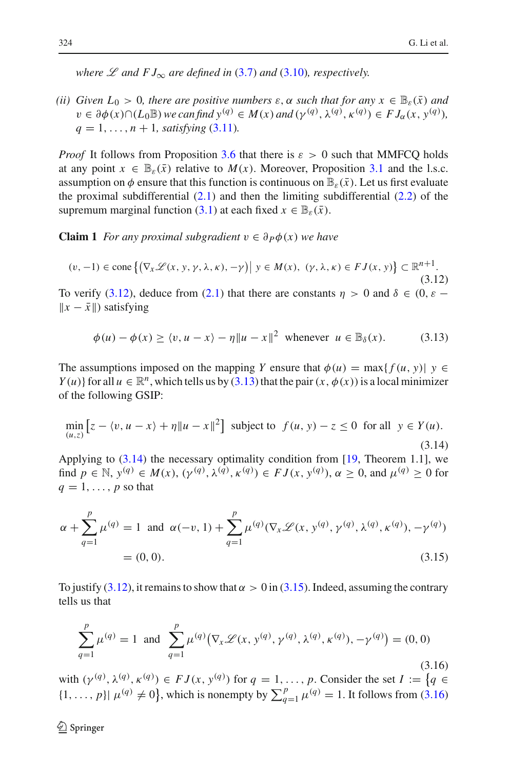*where*  $\mathscr L$  *and*  $FJ_{\infty}$  *are defined in* [\(3.7\)](#page-9-2) *and* [\(3.10\)](#page-10-0)*, respectively.* 

*(ii)* Given  $L_0 > 0$ , there are positive numbers  $\varepsilon$ ,  $\alpha$  such that for any  $x \in \mathbb{B}_{\varepsilon}(\bar{x})$  and  $v \in \partial \phi(x) \cap (L_0 \mathbb{B})$  we can find  $y^{(q)} \in M(x)$  and  $(y^{(q)}, \lambda^{(q)}, \kappa^{(q)}) \in FJ_\alpha(x, y^{(q)}),$  $q = 1, \ldots, n + 1$ *, satisfying* [\(3.11\)](#page-10-1)*.* 

*Proof* It follows from Proposition [3.6](#page-10-2) that there is  $\varepsilon > 0$  such that MMFCQ holds at any point  $x \in \mathbb{B}_{\varepsilon}(\bar{x})$  relative to  $M(x)$ . Moreover, Proposition [3.1](#page-7-0) and the l.s.c. assumption on  $\phi$  ensure that this function is continuous on  $\mathbb{B}_{\varepsilon}(\bar{x})$ . Let us first evaluate the proximal subdifferential  $(2.1)$  and then the limiting subdifferential  $(2.2)$  of the supremum marginal function [\(3.1\)](#page-6-2) at each fixed  $x \in \mathbb{B}_{\epsilon}(\bar{x})$ .

<span id="page-11-5"></span>**Claim 1** *For any proximal subgradient*  $v ∈ ∂*P*φ(*x*)$  *we have* 

$$
(v, -1) \in \text{cone}\left\{ \left( \nabla_x \mathcal{L}(x, y, \gamma, \lambda, \kappa), -\gamma \right) \middle| \ y \in M(x), \ (\gamma, \lambda, \kappa) \in FJ(x, y) \right\} \subset \mathbb{R}^{n+1}.
$$
\n(3.12)

<span id="page-11-0"></span>To verify [\(3.12\)](#page-11-0), deduce from [\(2.1\)](#page-5-0) that there are constants  $\eta > 0$  and  $\delta \in (0, \varepsilon ||x - \bar{x}||$  satisfying

$$
\phi(u) - \phi(x) \ge \langle v, u - x \rangle - \eta \| u - x \|^2 \text{ whenever } u \in \mathbb{B}_{\delta}(x). \tag{3.13}
$$

<span id="page-11-1"></span>The assumptions imposed on the mapping *Y* ensure that  $\phi(u) = \max\{f(u, y)| | y \in$ *Y*(*u*)} for all  $u \in \mathbb{R}^n$ , which tells us by [\(3.13\)](#page-11-1) that the pair(*x*,  $\phi(x)$ ) is a local minimizer of the following GSIP:

$$
\min_{(u,z)} \left[ z - \langle v, u - x \rangle + \eta \| u - x \|^2 \right] \text{ subject to } f(u, y) - z \le 0 \text{ for all } y \in Y(u). \tag{3.14}
$$

<span id="page-11-2"></span>Applying to  $(3.14)$  the necessary optimality condition from [\[19,](#page-33-16) Theorem 1.1], we find  $p \in \mathbb{N}$ ,  $y^{(q)} \in M(x)$ ,  $(\gamma^{(q)}, \lambda^{(q)}, \kappa^{(q)}) \in FJ(x, y^{(q)})$ ,  $\alpha \ge 0$ , and  $\mu^{(q)} \ge 0$  for  $q = 1, \ldots, p$  so that

<span id="page-11-3"></span>
$$
\alpha + \sum_{q=1}^{p} \mu^{(q)} = 1 \text{ and } \alpha(-v, 1) + \sum_{q=1}^{p} \mu^{(q)}(\nabla_x \mathcal{L}(x, y^{(q)}, \gamma^{(q)}, \lambda^{(q)}, \kappa^{(q)}), -\gamma^{(q)})
$$
  
= (0, 0). (3.15)

To justify [\(3.12\)](#page-11-0), it remains to show that  $\alpha > 0$  in [\(3.15\)](#page-11-3). Indeed, assuming the contrary tells us that

$$
\sum_{q=1}^{p} \mu^{(q)} = 1 \text{ and } \sum_{q=1}^{p} \mu^{(q)}(\nabla_{x} \mathcal{L}(x, y^{(q)}, \gamma^{(q)}, \lambda^{(q)}, \kappa^{(q)}), -\gamma^{(q)}) = (0, 0)
$$
\n(3.16)

<span id="page-11-4"></span>with  $(\gamma^{(q)}, \lambda^{(q)}, \kappa^{(q)}) \in FJ(x, y^{(q)})$  for  $q = 1, \ldots, p$ . Consider the set  $I := \{q \in I : |q| \leq q \}$  $\{1, \ldots, p\}$   $\mu^{(q)} \neq 0\}$ , which is nonempty by  $\sum_{q=1}^{p} \mu^{(q)} = 1$ . It follows from [\(3.16\)](#page-11-4)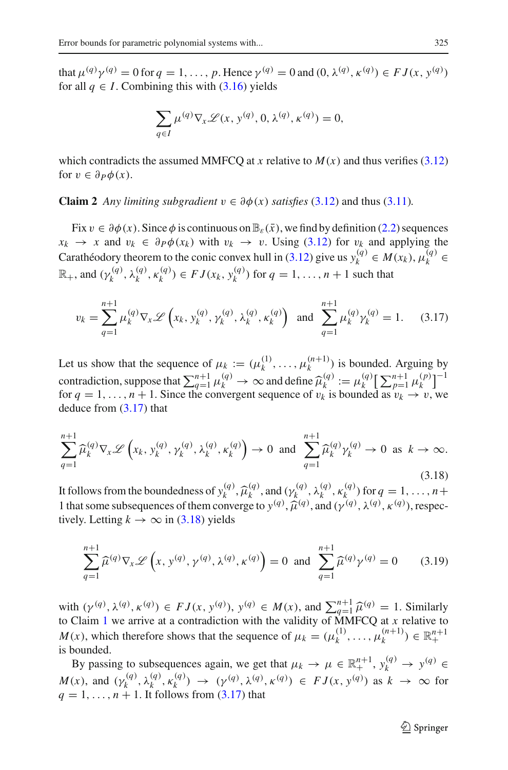that  $\mu^{(q)}\gamma^{(q)} = 0$  for  $q = 1, ..., p$ . Hence  $\gamma^{(q)} = 0$  and  $(0, \lambda^{(q)}, \kappa^{(q)}) \in FJ(x, y^{(q)})$ for all  $q \in I$ . Combining this with  $(3.16)$  yields

$$
\sum_{q \in I} \mu^{(q)} \nabla_{x} \mathcal{L}(x, y^{(q)}, 0, \lambda^{(q)}, \kappa^{(q)}) = 0,
$$

<span id="page-12-2"></span>which contradicts the assumed MMFCO at *x* relative to  $M(x)$  and thus verifies [\(3.12\)](#page-11-0) for  $v \in \partial P \phi(x)$ .

**Claim 2** *Any limiting subgradient*  $v \in \partial \phi(x)$  *satisfies* [\(3.12\)](#page-11-0) and thus [\(3.11\)](#page-10-1)*.* 

Fix  $v \in \partial \phi(x)$ . Since  $\phi$  is continuous on  $\mathbb{B}_{\varepsilon}(\bar{x})$ , we find by definition [\(2.2\)](#page-5-1) sequences  $x_k \to x$  and  $v_k \in \partial P\phi(x_k)$  with  $v_k \to v$ . Using [\(3.12\)](#page-11-0) for  $v_k$  and applying the Carathéodory theorem to the conic convex hull in [\(3.12\)](#page-11-0) give us  $y_k^{(q)} \in M(x_k)$ ,  $\mu_k^{(q)} \in$  $\mathbb{R}_+$ , and  $(\gamma_k^{(q)}, \lambda_k^{(q)}, \kappa_k^{(q)}) \in FJ(x_k, y_k^{(q)})$  for  $q = 1, ..., n + 1$  such that

$$
v_k = \sum_{q=1}^{n+1} \mu_k^{(q)} \nabla_x \mathcal{L} \left( x_k, y_k^{(q)}, \gamma_k^{(q)}, \lambda_k^{(q)}, \kappa_k^{(q)} \right) \text{ and } \sum_{q=1}^{n+1} \mu_k^{(q)} \gamma_k^{(q)} = 1. \tag{3.17}
$$

<span id="page-12-0"></span>Let us show that the sequence of  $\mu_k := (\mu_k^{(1)}, \dots, \mu_k^{(n+1)})$  is bounded. Arguing by contradiction, suppose that  $\sum_{q=1}^{n+1} \mu_k^{(q)} \to \infty$  and define  $\hat{\mu}_k^{(q)} := \mu_k^{(q)} \left[\sum_{p=1}^{n+1} \mu_k^{(p)}\right]^{-1}$ for  $q = 1, \ldots, n + 1$ . Since the convergent sequence of  $v_k$  is bounded as  $v_k \to v$ , we deduce from [\(3.17\)](#page-12-0) that

<span id="page-12-1"></span>
$$
\sum_{q=1}^{n+1} \widehat{\mu}_k^{(q)} \nabla_x \mathcal{L} \left( x_k, y_k^{(q)}, \gamma_k^{(q)}, \lambda_k^{(q)}, \kappa_k^{(q)} \right) \to 0 \text{ and } \sum_{q=1}^{n+1} \widehat{\mu}_k^{(q)} \gamma_k^{(q)} \to 0 \text{ as } k \to \infty.
$$
\n(3.18)

It follows from the boundedness of  $y_k^{(q)}$ ,  $\hat{\mu}_k^{(q)}$ , and  $(y_k^{(q)}, \lambda_k^{(q)}, \kappa_k^{(q)})$  for  $q = 1, \ldots, n+1$ <br>1 that some subsequences of them converge to  $y_k^{(q)}$ ,  $\hat{\mu}_k^{(q)}$ , and  $(x_k^{(q)}, y_k^{(q)}, \kappa_k^{(q)})$ , respectively 1 that some subsequences of them converge to  $y^{(q)}$ ,  $\hat{\mu}^{(q)}$ , and  $(\gamma^{(q)}, \lambda^{(q)}, \kappa^{(q)})$ , respectively Letting  $k \to \infty$  in (3.18) yields tively. Letting  $k \to \infty$  in [\(3.18\)](#page-12-1) yields

$$
\sum_{q=1}^{n+1} \widehat{\mu}^{(q)} \nabla_x \mathcal{L} \left( x, y^{(q)}, \gamma^{(q)}, \lambda^{(q)}, \kappa^{(q)} \right) = 0 \text{ and } \sum_{q=1}^{n+1} \widehat{\mu}^{(q)} \gamma^{(q)} = 0 \quad (3.19)
$$

with  $(\gamma^{(q)}, \lambda^{(q)}, \kappa^{(q)}) \in FJ(x, y^{(q)}), y^{(q)} \in M(x)$ , and  $\sum_{q=1}^{n+1} \hat{\mu}^{(q)} = 1$  $\sum_{q=1}^{n+1} \hat{\mu}^{(q)} = 1$  $\sum_{q=1}^{n+1} \hat{\mu}^{(q)} = 1$ . Similarly to Claim 1 we arrive at a contradiction with the validity of MMFCQ at x relative to *M*(*x*), which therefore shows that the sequence of  $\mu_k = (\mu_k^{(1)}, \dots, \mu_k^{(n+1)}) \in \mathbb{R}^{n+1}_+$ is bounded.

By passing to subsequences again, we get that  $\mu_k \to \mu \in \mathbb{R}^{n+1}_+$ ,  $y_k^{(q)} \to y^{(q)} \in$ *M*(*x*), and  $(\gamma_k^{(q)}, \lambda_k^{(q)}, \kappa_k^{(q)}) \rightarrow (\gamma^{(q)}, \lambda^{(q)}, \kappa^{(q)}) \in FJ(x, y^{(q)})$  as  $k \rightarrow \infty$  for  $q = 1, \ldots, n + 1$ . It follows from [\(3.17\)](#page-12-0) that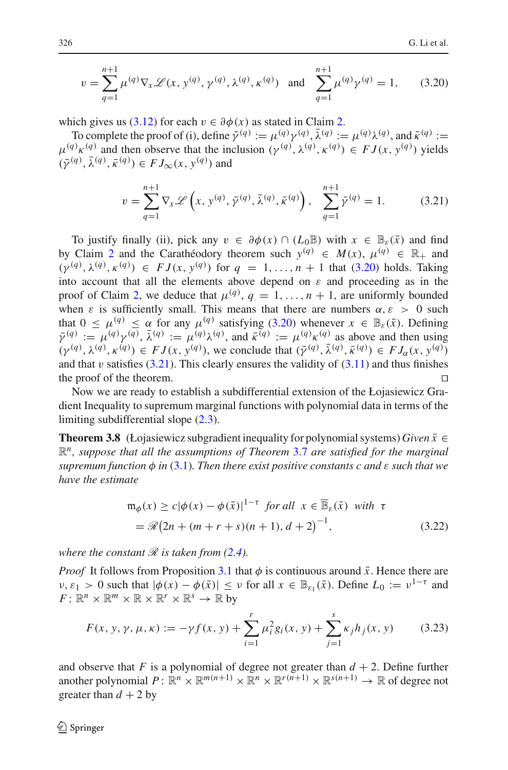$$
v = \sum_{q=1}^{n+1} \mu^{(q)} \nabla_x \mathcal{L}(x, y^{(q)}, \gamma^{(q)}, \lambda^{(q)}, \kappa^{(q)}) \text{ and } \sum_{q=1}^{n+1} \mu^{(q)} \gamma^{(q)} = 1,
$$
 (3.20)

<span id="page-13-0"></span>which gives us [\(3.12\)](#page-11-0) for each  $v \in \partial \phi(x)$  as stated in Claim [2.](#page-12-2)

To complete the proof of (i), define  $\bar{\gamma}^{(q)} := \mu^{(q)} \gamma^{(q)}$ ,  $\bar{\lambda}^{(q)} := \mu^{(q)} \lambda^{(q)}$ , and  $\bar{\kappa}^{(q)} :=$  $\mu^{(q)}\kappa^{(q)}$  and then observe that the inclusion  $(\gamma^{(q)}, \lambda^{(q)}, \kappa^{(q)}) \in FJ(x, y^{(q)})$  yields  $(\bar{\gamma}^{(q)}, \bar{\lambda}^{(q)}, \bar{\kappa}^{(q)}) \in FJ_{\infty}(x, y^{(q)})$  and

$$
v = \sum_{q=1}^{n+1} \nabla_x \mathcal{L}\left(x, y^{(q)}, \bar{\gamma}^{(q)}, \bar{\lambda}^{(q)}, \bar{\kappa}^{(q)}\right), \quad \sum_{q=1}^{n+1} \bar{\gamma}^{(q)} = 1. \tag{3.21}
$$

<span id="page-13-1"></span>To justify finally (ii), pick any  $v \in \partial \phi(x) \cap (L_0 \mathbb{B})$  with  $x \in \mathbb{B}_{\epsilon}(\bar{x})$  and find by Claim [2](#page-12-2) and the Carathéodory theorem such  $y^{(q)} \in M(x)$ ,  $\mu^{(q)} \in \mathbb{R}_+$  and  $(\gamma^{(q)}, \lambda^{(q)}, \kappa^{(q)}) \in FJ(x, y^{(q)})$  for  $q = 1, ..., n + 1$  that [\(3.20\)](#page-13-0) holds. Taking into account that all the elements above depend on  $\varepsilon$  and proceeding as in the proof of Claim [2,](#page-12-2) we deduce that  $\mu^{(q)}$ ,  $q = 1, ..., n + 1$ , are uniformly bounded when  $\varepsilon$  is sufficiently small. This means that there are numbers  $\alpha$ ,  $\varepsilon > 0$  such that  $0 < \mu^{(q)} < \alpha$  for any  $\mu^{(q)}$  satisfying [\(3.20\)](#page-13-0) whenever  $x \in \mathbb{B}_{\epsilon}(\bar{x})$ . Defining  $\bar{\gamma}^{(q)} := \mu^{(q)} \gamma^{(q)}, \bar{\lambda}^{(q)} := \mu^{(q)} \lambda^{(q)},$  and  $\bar{\kappa}^{(q)} := \mu^{(q)} \kappa^{(q)}$  as above and then using  $(\gamma^{(q)}, \lambda^{(q)}, \kappa^{(q)}) \in FJ(x, y^{(q)})$ , we conclude that  $(\bar{\gamma}^{(q)}, \bar{\lambda}^{(q)}, \bar{\kappa}^{(q)}) \in FJ_{\alpha}(x, y^{(q)})$ and that v satisfies  $(3.21)$ . This clearly ensures the validity of  $(3.11)$  and thus finishes the proof of the theorem.

Now we are ready to establish a subdifferential extension of the Łojasiewicz Gradient Inequality to supremum marginal functions with polynomial data in terms of the limiting subdifferential slope [\(2.3\)](#page-5-2).

<span id="page-13-3"></span>**Theorem 3.8** (Łojasiewicz subgradient inequality for polynomial systems) *Given*  $\bar{x} \in$ R*n, suppose that all the assumptions of Theorem* [3.7](#page-10-3) *are satisfied for the marginal*  $supremum function  $\phi$  *in* [\(3.1\)](#page-6-2). Then there exist positive constants c and  $\varepsilon$  *such that we*$ *have the estimate*

$$
\mathfrak{m}_{\phi}(x) \ge c|\phi(x) - \phi(\bar{x})|^{1-\tau} \text{ for all } x \in \overline{\mathbb{B}}_{\varepsilon}(\bar{x}) \text{ with } \tau
$$
  
=  $\mathcal{R}(2n + (m+r+s)(n+1), d+2)^{-1}$ , (3.22)

<span id="page-13-2"></span>*where the constant*  $\Re$  *is taken from [\(2.4\)](#page-6-1).* 

*Proof* It follows from Proposition [3.1](#page-7-0) that  $\phi$  is continuous around  $\bar{x}$ . Hence there are  $v, \varepsilon_1 > 0$  such that  $|\phi(x) - \phi(\bar{x})| \le v$  for all  $x \in \mathbb{B}_{\varepsilon_1}(\bar{x})$ . Define  $L_0 := v^{1-\tau}$  and  $F: \mathbb{R}^n \times \mathbb{R}^m \times \mathbb{R} \times \mathbb{R}^r \times \mathbb{R}^s \to \mathbb{R}$  by

$$
F(x, y, \gamma, \mu, \kappa) := -\gamma f(x, y) + \sum_{i=1}^{r} \mu_i^2 g_i(x, y) + \sum_{j=1}^{s} \kappa_j h_j(x, y) \tag{3.23}
$$

<span id="page-13-4"></span>and observe that  $F$  is a polynomial of degree not greater than  $d + 2$ . Define further another polynomial  $P: \mathbb{R}^n \times \mathbb{R}^{m(n+1)} \times \mathbb{R}^n \times \mathbb{R}^{r(n+1)} \times \mathbb{R}^{s(n+1)} \to \mathbb{R}$  of degree not greater than  $d + 2$  by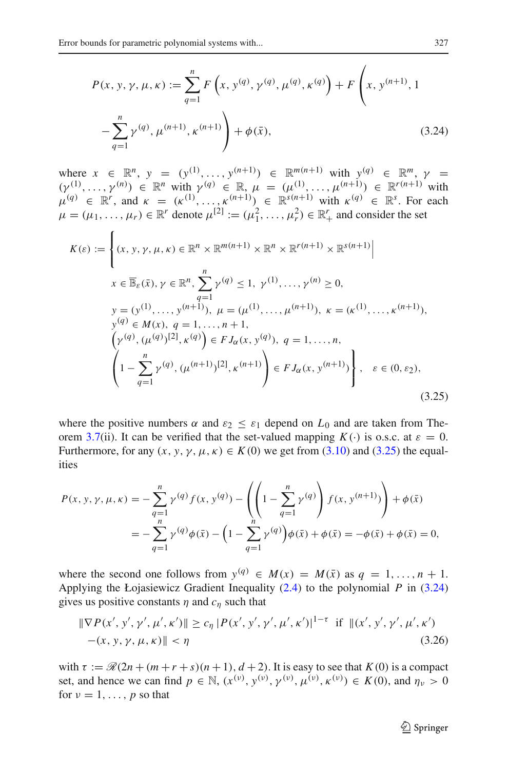<span id="page-14-1"></span>
$$
P(x, y, \gamma, \mu, \kappa) := \sum_{q=1}^{n} F\left(x, y^{(q)}, \gamma^{(q)}, \mu^{(q)}, \kappa^{(q)}\right) + F\left(x, y^{(n+1)}, 1 - \sum_{q=1}^{n} \gamma^{(q)}, \mu^{(n+1)}, \kappa^{(n+1)}\right) + \phi(\bar{x}),
$$
\n(3.24)

where  $x \in \mathbb{R}^n$ ,  $y = (y^{(1)}, \ldots, y^{(n+1)}) \in \mathbb{R}^{m(n+1)}$  with  $y^{(q)} \in \mathbb{R}^m$ ,  $\gamma = (y^{(1)}, \ldots, y^{(n+1)})$  $(\gamma^{(1)}, \ldots, \gamma^{(n)}) \in \mathbb{R}^n$  with  $\gamma^{(q)} \in \mathbb{R}, \mu = (\mu^{(1)}, \ldots, \mu^{(n+1)}) \in \mathbb{R}^{r(n+1)}$  with  $\mu^{(q)} \in \mathbb{R}^r$ , and  $\kappa = (\kappa^{(1)}, \ldots, \kappa^{(n+1)}) \in \mathbb{R}^{s(n+1)}$  with  $\kappa^{(q)} \in \mathbb{R}^s$ . For each  $\mu = (\mu_1, \dots, \mu_r) \in \mathbb{R}^r$  denote  $\mu^{[2]} := (\mu_1^2, \dots, \mu_r^2) \in \mathbb{R}_+^r$  and consider the set

<span id="page-14-0"></span>
$$
K(\varepsilon) := \left\{ (x, y, \gamma, \mu, \kappa) \in \mathbb{R}^n \times \mathbb{R}^{m(n+1)} \times \mathbb{R}^n \times \mathbb{R}^{r(n+1)} \times \mathbb{R}^{s(n+1)} \middle| \right\}
$$
  
\n
$$
x \in \overline{\mathbb{B}}_{\varepsilon}(\bar{x}), \gamma \in \mathbb{R}^n, \sum_{q=1}^n \gamma^{(q)} \le 1, \gamma^{(1)}, \dots, \gamma^{(n)} \ge 0,
$$
  
\n
$$
y = (y^{(1)}, \dots, y^{(n+1)}), \mu = (\mu^{(1)}, \dots, \mu^{(n+1)}), \kappa = (\kappa^{(1)}, \dots, \kappa^{(n+1)}),
$$
  
\n
$$
y^{(q)} \in M(x), q = 1, \dots, n + 1,
$$
  
\n
$$
\left(\gamma^{(q)}, (\mu^{(q)})^{[2]}, \kappa^{(q)}\right) \in FJ_{\alpha}(x, y^{(q)}), q = 1, \dots, n,
$$
  
\n
$$
\left(1 - \sum_{q=1}^n \gamma^{(q)}, (\mu^{(n+1)})^{[2]}, \kappa^{(n+1)}\right) \in FJ_{\alpha}(x, y^{(n+1)}) \right\}, \varepsilon \in (0, \varepsilon_2),
$$
  
\n(3.25)

where the positive numbers  $\alpha$  and  $\varepsilon_2 \leq \varepsilon_1$  depend on  $L_0$  and are taken from The-orem [3.7\(](#page-10-3)ii). It can be verified that the set-valued mapping  $K(\cdot)$  is o.s.c. at  $\varepsilon = 0$ . Furthermore, for any  $(x, y, \gamma, \mu, \kappa) \in K(0)$  we get from [\(3.10\)](#page-10-0) and [\(3.25\)](#page-14-0) the equalities

$$
P(x, y, \gamma, \mu, \kappa) = -\sum_{q=1}^{n} \gamma^{(q)} f(x, y^{(q)}) - \left( \left( 1 - \sum_{q=1}^{n} \gamma^{(q)} \right) f(x, y^{(n+1)}) \right) + \phi(\bar{x})
$$
  
= 
$$
-\sum_{q=1}^{n} \gamma^{(q)} \phi(\bar{x}) - \left( 1 - \sum_{q=1}^{n} \gamma^{(q)} \right) \phi(\bar{x}) + \phi(\bar{x}) = -\phi(\bar{x}) + \phi(\bar{x}) = 0,
$$

where the second one follows from  $y^{(q)} \in M(x) = M(\bar{x})$  as  $q = 1, \ldots, n + 1$ . Applying the Łojasiewicz Gradient Inequality [\(2.4\)](#page-6-1) to the polynomial *P* in [\(3.24\)](#page-14-1) gives us positive constants  $\eta$  and  $c_{\eta}$  such that

$$
\|\nabla P(x', y', \gamma', \mu', \kappa')\| \ge c_{\eta} |P(x', y', \gamma', \mu', \kappa')|^{1-\tau} \text{ if } \|(x', y', \gamma', \mu', \kappa') - (x, y, \gamma, \mu, \kappa)\| < \eta \tag{3.26}
$$

<span id="page-14-2"></span>with  $\tau := \mathcal{R}(2n + (m+r+s)(n+1), d+2)$ . It is easy to see that  $K(0)$  is a compact set, and hence we can find  $p \in \mathbb{N}$ ,  $(x^{(v)}, y^{(v)}, y^{(v)}, \mu^{(v)}, \kappa^{(v)}) \in K(0)$ , and  $\eta_v > 0$ for  $\nu = 1, \ldots, p$  so that

<sup>2</sup> Springer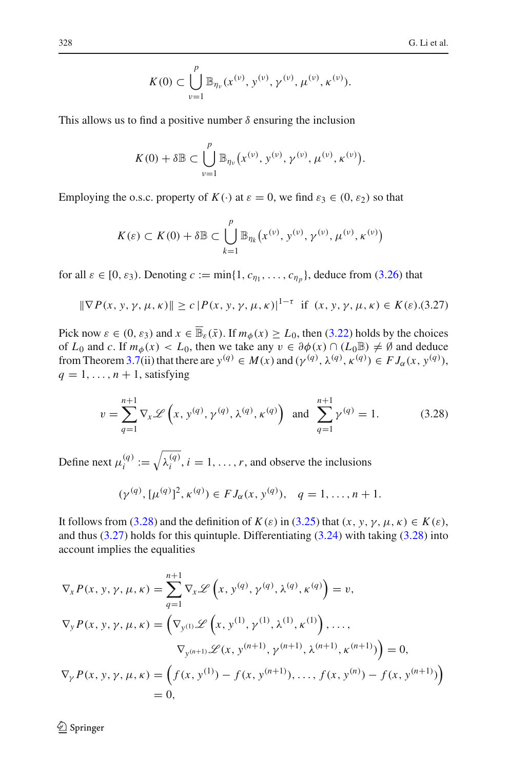$$
K(0) \subset \bigcup_{\nu=1}^p \mathbb{B}_{\eta_{\nu}}(x^{(\nu)}, y^{(\nu)}, \gamma^{(\nu)}, \mu^{(\nu)}, \kappa^{(\nu)}).
$$

This allows us to find a positive number  $\delta$  ensuring the inclusion

$$
K(0) + \delta \mathbb{B} \subset \bigcup_{\nu=1}^p \mathbb{B}_{\eta_{\nu}}(x^{(\nu)}, y^{(\nu)}, \gamma^{(\nu)}, \mu^{(\nu)}, \kappa^{(\nu)}).
$$

Employing the o.s.c. property of  $K(\cdot)$  at  $\varepsilon = 0$ , we find  $\varepsilon_3 \in (0, \varepsilon_2)$  so that

$$
K(\varepsilon) \subset K(0) + \delta \mathbb{B} \subset \bigcup_{k=1}^p \mathbb{B}_{\eta_k}(x^{(\nu)}, y^{(\nu)}, \gamma^{(\nu)}, \mu^{(\nu)}, \kappa^{(\nu)})
$$

for all  $\varepsilon \in [0, \varepsilon_3)$ . Denoting  $c := \min\{1, c_{\eta_1}, \ldots, c_{\eta_p}\}\)$ , deduce from [\(3.26\)](#page-14-2) that

$$
\|\nabla P(x, y, \gamma, \mu, \kappa)\| \ge c |P(x, y, \gamma, \mu, \kappa)|^{1-\tau} \text{ if } (x, y, \gamma, \mu, \kappa) \in K(\varepsilon). (3.27)
$$

<span id="page-15-1"></span>Pick now  $\varepsilon \in (0, \varepsilon_3)$  and  $x \in \overline{\mathbb{B}}_{\varepsilon}(\bar{x})$ . If  $m_\phi(x) \ge L_0$ , then [\(3.22\)](#page-13-2) holds by the choices of  $L_0$  and *c*. If  $m_\phi(x) < L_0$ , then we take any  $v \in \partial \phi(x) \cap (L_0 \mathbb{B}) \neq \emptyset$  and deduce from Theorem [3.7\(](#page-10-3)ii) that there are  $y^{(q)} \in M(x)$  and  $(y^{(q)}, \lambda^{(q)}, \kappa^{(q)}) \in FJ_\alpha(x, y^{(q)}),$  $q = 1, \ldots, n + 1$ , satisfying

$$
v = \sum_{q=1}^{n+1} \nabla_x \mathcal{L}\left(x, y^{(q)}, \gamma^{(q)}, \lambda^{(q)}, \kappa^{(q)}\right) \text{ and } \sum_{q=1}^{n+1} \gamma^{(q)} = 1. \tag{3.28}
$$

<span id="page-15-0"></span>Define next  $\mu_i^{(q)} := \sqrt{\lambda_i^{(q)}}$ ,  $i = 1, ..., r$ , and observe the inclusions

$$
(\gamma^{(q)}, [\mu^{(q)}]^2, \kappa^{(q)}) \in FJ_\alpha(x, y^{(q)}), \quad q = 1, \ldots, n+1.
$$

It follows from [\(3.28\)](#page-15-0) and the definition of  $K(\varepsilon)$  in [\(3.25\)](#page-14-0) that  $(x, y, y, \mu, \kappa) \in K(\varepsilon)$ , and thus  $(3.27)$  holds for this quintuple. Differentiating  $(3.24)$  with taking  $(3.28)$  into account implies the equalities

$$
\nabla_{x} P(x, y, \gamma, \mu, \kappa) = \sum_{q=1}^{n+1} \nabla_{x} \mathcal{L} \left( x, y^{(q)}, \gamma^{(q)}, \lambda^{(q)}, \kappa^{(q)} \right) = v,
$$
  
\n
$$
\nabla_{y} P(x, y, \gamma, \mu, \kappa) = \left( \nabla_{y^{(1)}} \mathcal{L} \left( x, y^{(1)}, \gamma^{(1)}, \lambda^{(1)}, \kappa^{(1)} \right), \dots, \right. \\
\nabla_{y^{(n+1)}} \mathcal{L} (x, y^{(n+1)}, \gamma^{(n+1)}, \lambda^{(n+1)}, \kappa^{(n+1)}) \right) = 0,
$$
  
\n
$$
\nabla_{\gamma} P(x, y, \gamma, \mu, \kappa) = \left( f(x, y^{(1)}) - f(x, y^{(n+1)}), \dots, f(x, y^{(n)}) - f(x, y^{(n+1)}) \right) = 0,
$$
  
\n= 0,

<sup>2</sup> Springer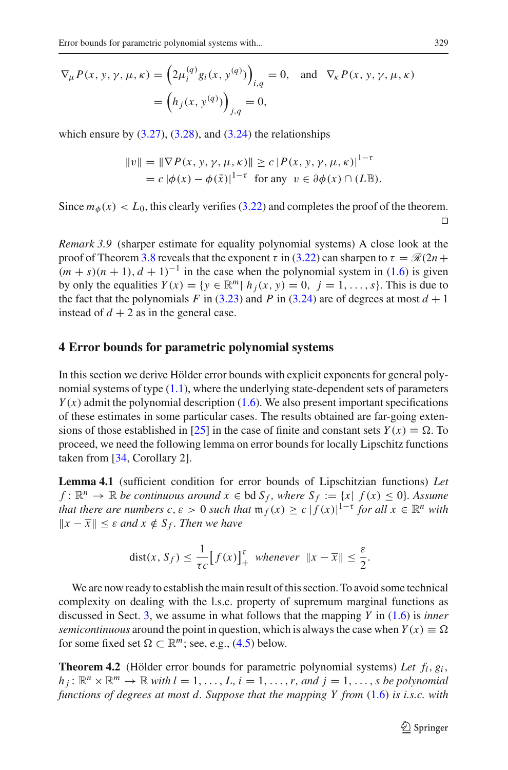$$
\nabla_{\mu} P(x, y, \gamma, \mu, \kappa) = \left(2\mu_i^{(q)} g_i(x, y^{(q)})\right)_{i,q} = 0, \text{ and } \nabla_{\kappa} P(x, y, \gamma, \mu, \kappa)
$$

$$
= \left(h_j(x, y^{(q)})\right)_{j,q} = 0,
$$

which ensure by  $(3.27)$ ,  $(3.28)$ , and  $(3.24)$  the relationships

$$
||v|| = ||\nabla P(x, y, \gamma, \mu, \kappa)|| \ge c |P(x, y, \gamma, \mu, \kappa)|^{1-\tau}
$$
  
=  $c |\phi(x) - \phi(\bar{x})|^{1-\tau}$  for any  $v \in \partial \phi(x) \cap (L\mathbb{B})$ .

Since  $m_{\phi}(x) < L_0$ , this clearly verifies [\(3.22\)](#page-13-2) and completes the proof of the theorem.  $\Box$ 

<span id="page-16-2"></span>*Remark 3.9* (sharper estimate for equality polynomial systems) A close look at the proof of Theorem [3.8](#page-13-3) reveals that the exponent  $\tau$  in [\(3.22\)](#page-13-2) can sharpen to  $\tau = \mathcal{R}(2n +$  $(m + s)(n + 1)$ ,  $d + 1$ <sup>-1</sup> in the case when the polynomial system in [\(1.6\)](#page-4-0) is given by only the equalities  $Y(x) = \{y \in \mathbb{R}^m | h_j(x, y) = 0, j = 1, \ldots, s\}$ . This is due to the fact that the polynomials *F* in [\(3.23\)](#page-13-4) and *P* in [\(3.24\)](#page-14-1) are of degrees at most  $d + 1$ instead of  $d + 2$  as in the general case.

## <span id="page-16-0"></span>**4 Error bounds for parametric polynomial systems**

In this section we derive Hölder error bounds with explicit exponents for general polynomial systems of type  $(1.1)$ , where the underlying state-dependent sets of parameters  $Y(x)$  admit the polynomial description [\(1.6\)](#page-4-0). We also present important specifications of these estimates in some particular cases. The results obtained are far-going exten-sions of those established in [\[25](#page-33-12)] in the case of finite and constant sets  $Y(x) \equiv \Omega$ . To proceed, we need the following lemma on error bounds for locally Lipschitz functions taken from [\[34,](#page-33-5) Corollary 2].

<span id="page-16-1"></span>**Lemma 4.1** (sufficient condition for error bounds of Lipschitzian functions) *Let f* :  $\mathbb{R}^n$  →  $\mathbb{R}$  *be continuous around*  $\overline{x}$  ∈ *bd*  $S_f$ *, where*  $S_f := \{x | f(x) \le 0\}$ *. Assume that there are numbers c,*  $\varepsilon > 0$  *such that*  $\mathfrak{m}_f(x) \ge c |f(x)|^{1-\tau}$  *for all*  $x \in \mathbb{R}^n$  *with*  $||x − \overline{x}|| \leq ε$  *and*  $x \notin S_f$ . *Then we have* 

$$
\text{dist}(x, S_f) \le \frac{1}{\tau c} \big[ f(x) \big]_+^{\tau} \text{ whenever } \|x - \overline{x}\| \le \frac{\varepsilon}{2}.
$$

We are now ready to establish the main result of this section. To avoid some technical complexity on dealing with the l.s.c. property of supremum marginal functions as discussed in Sect. [3,](#page-6-0) we assume in what follows that the mapping *Y* in [\(1.6\)](#page-4-0) is *inner semicontinuous* around the point in question, which is always the case when  $Y(x) \equiv \Omega$ for some fixed set  $\Omega \subset \mathbb{R}^m$ ; see, e.g., [\(4.5\)](#page-19-0) below.

<span id="page-16-3"></span>**Theorem 4.2** (Hölder error bounds for parametric polynomial systems) Let  $f_l$ ,  $g_i$ ,  $h_j: \mathbb{R}^n \times \mathbb{R}^m \to \mathbb{R}$  *with*  $l = 1, \ldots, L$ ,  $i = 1, \ldots, r$ , and  $j = 1, \ldots, s$  be polynomial *functions of degrees at most d. Suppose that the mapping Y from* [\(1.6\)](#page-4-0) *is i.s.c. with*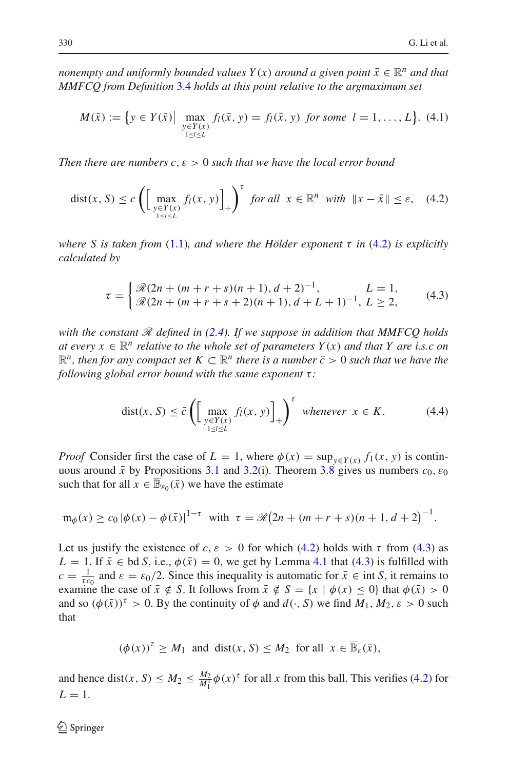*nonempty and uniformly bounded values*  $Y(x)$  *around a given point*  $\bar{x} \in \mathbb{R}^n$  *and that MMFCQ from Definition* [3.4](#page-8-1) *holds at this point relative to the argmaximum set*

$$
M(\bar{x}) := \{ y \in Y(\bar{x}) \mid \max_{\substack{y \in Y(x) \\ 1 \le l \le L}} f_l(\bar{x}, y) = f_l(\bar{x}, y) \text{ for some } l = 1, ..., L \}. \tag{4.1}
$$

<span id="page-17-0"></span>*Then there are numbers c*,ε > 0 *such that we have the local error bound*

$$
dist(x, S) \le c \left( \left[ \max_{\substack{y \in Y(x) \\ 1 \le l \le L}} f_l(x, y) \right]_+ \right)^{\tau} \text{ for all } x \in \mathbb{R}^n \text{ with } \|x - \bar{x}\| \le \varepsilon, \quad (4.2)
$$

*where S is taken from* [\(1.1\)](#page-1-0)*, and where the Hölder exponent* τ *in* [\(4.2\)](#page-17-0) *is explicitly calculated by*

$$
\tau = \begin{cases} \mathcal{R}(2n + (m+r+s)(n+1), d+2)^{-1}, & L = 1, \\ \mathcal{R}(2n + (m+r+s+2)(n+1), d+L+1)^{-1}, L \ge 2, \end{cases}
$$
(4.3)

<span id="page-17-1"></span>*with the constant R defined in [\(2.4\)](#page-6-1). If we suppose in addition that MMFCQ holds at every*  $x \in \mathbb{R}^n$  *relative to the whole set of parameters*  $Y(x)$  *and that*  $Y$  *are i.s.c on*  $\mathbb{R}^n$ , then for any compact set  $K \subset \mathbb{R}^n$  there is a number  $\bar{c} > 0$  such that we have the *following global error bound with the same exponent* τ:

$$
dist(x, S) \le \bar{c} \left( \left[ \max_{\substack{y \in Y(x) \\ 1 \le l \le L}} f_l(x, y) \right]_+ \right)^{\tau} \text{ whenever } x \in K. \tag{4.4}
$$

<span id="page-17-2"></span>*Proof* Consider first the case of  $L = 1$ , where  $\phi(x) = \sup_{y \in Y(x)} f_1(x, y)$  is continuous around  $\bar{x}$  by Propositions [3.1](#page-7-0) and [3.2\(](#page-7-2)i). Theorem [3.8](#page-13-3) gives us numbers  $c_0$ ,  $\varepsilon_0$ such that for all  $x \in \overline{\mathbb{B}}_{\epsilon_0}(\bar{x})$  we have the estimate

$$
\mathfrak{m}_{\phi}(x) \ge c_0 |\phi(x) - \phi(\bar{x})|^{1-\tau} \text{ with } \tau = \mathcal{R}(2n + (m+r+s)(n+1, d+2)^{-1}.
$$

Let us justify the existence of  $c, \varepsilon > 0$  for which [\(4.2\)](#page-17-0) holds with  $\tau$  from [\(4.3\)](#page-17-1) as *L* = 1. If  $\bar{x} \in bd S$ , i.e.,  $\phi(\bar{x}) = 0$ , we get by Lemma [4.1](#page-16-1) that [\(4.3\)](#page-17-1) is fulfilled with  $c = \frac{1}{\tau c_0}$  and  $\varepsilon = \varepsilon_0/2$ . Since this inequality is automatic for  $\bar{x} \in \text{int } S$ , it remains to examine the case of  $\bar{x} \notin S$ . It follows from  $\bar{x} \notin S = \{x \mid \phi(x) \le 0\}$  that  $\phi(\bar{x}) > 0$ and so  $(\phi(\bar{x}))^{\tau} > 0$ . By the continuity of  $\phi$  and  $d(\cdot, S)$  we find  $M_1, M_2, \varepsilon > 0$  such that

$$
(\phi(x))^{\tau} \ge M_1
$$
 and dist $(x, S) \le M_2$  for all  $x \in \overline{\mathbb{B}}_{\varepsilon}(\overline{x}),$ 

and hence dist(*x*, *S*)  $\leq M_2 \leq \frac{M_2}{M_1^2} \phi(x)^{\tau}$  for all *x* from this ball. This verifies [\(4.2\)](#page-17-0) for  $L=1$ .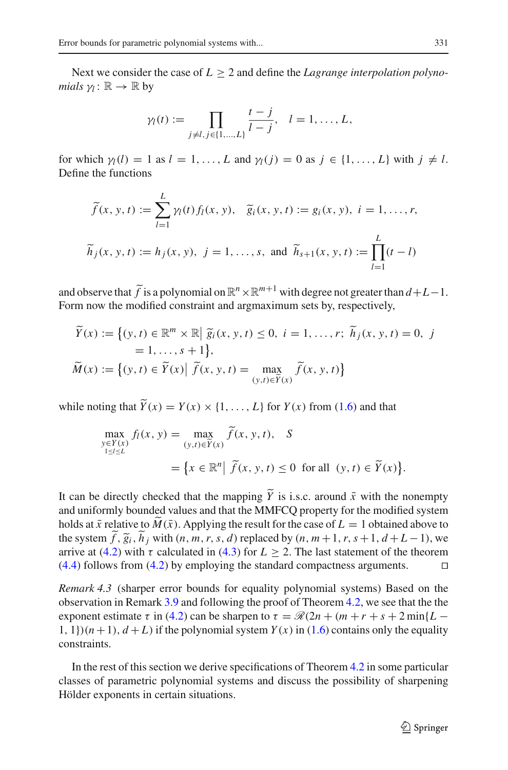Next we consider the case of  $L \geq 2$  and define the *Lagrange interpolation polynomials*  $\gamma$ *l* :  $\mathbb{R} \to \mathbb{R}$  by

$$
\gamma_l(t) := \prod_{j \neq l, j \in \{1, \dots, L\}} \frac{t - j}{l - j}, \quad l = 1, \dots, L,
$$

for which  $\gamma_l(l) = 1$  as  $l = 1, \ldots, L$  and  $\gamma_l(i) = 0$  as  $j \in \{1, \ldots, L\}$  with  $j \neq l$ . Define the functions

$$
\tilde{f}(x, y, t) := \sum_{l=1}^{L} \gamma_l(t) f_l(x, y), \quad \tilde{g}_i(x, y, t) := g_i(x, y), \quad i = 1, \dots, r,
$$
\n
$$
\tilde{h}_j(x, y, t) := h_j(x, y), \quad j = 1, \dots, s, \text{ and } \tilde{h}_{s+1}(x, y, t) := \prod_{l=1}^{L} (t - l)
$$

and observe that  $\tilde{f}$  is a polynomial on  $\mathbb{R}^n \times \mathbb{R}^{m+1}$  with degree not greater than  $d+L-1$ . Form now the modified constraint and argmaximum sets by, respectively,

$$
\widetilde{Y}(x) := \{(y, t) \in \mathbb{R}^m \times \mathbb{R} \mid \widetilde{g}_i(x, y, t) \le 0, i = 1, \dots, r; \widetilde{h}_j(x, y, t) = 0, j = 1, \dots, s + 1\},\
$$
  
\n
$$
\widetilde{M}(x) := \{(y, t) \in \widetilde{Y}(x) \mid \widetilde{f}(x, y, t) = \max_{(y, t) \in \widetilde{Y}(x)} \widetilde{f}(x, y, t)\}
$$

while noting that  $\widetilde{Y}(x) = Y(x) \times \{1, ..., L\}$  for  $Y(x)$  from [\(1.6\)](#page-4-0) and that

$$
\max_{\substack{y \in Y(x) \\ 1 \le l \le L}} f_l(x, y) = \max_{(y, t) \in \widetilde{Y}(x)} \widetilde{f}(x, y, t), \quad S
$$

$$
= \{x \in \mathbb{R}^n \mid \widetilde{f}(x, y, t) \le 0 \text{ for all } (y, t) \in \widetilde{Y}(x)\}.
$$

It can be directly checked that the mapping  $\tilde{Y}$  is i.s.c. around  $\bar{x}$  with the nonempty and uniformly bounded values and that the MMFCQ property for the modified system holds at  $\bar{x}$  relative to  $\tilde{M}(\bar{x})$ . Applying the result for the case of  $L = 1$  obtained above to the system  $\tilde{f}$ ,  $\tilde{g}_i$ ,  $\tilde{h}_j$  with  $(n, m, r, s, d)$  replaced by  $(n, m+1, r, s+1, d+L-1)$ , we arrive at [\(4.2\)](#page-17-0) with  $\tau$  calculated in [\(4.3\)](#page-17-1) for  $L \ge 2$ . The last statement of the theorem  $(4.4)$  follows from  $(4.2)$  by employing the standard compactness arguments.  $\square$ 

<span id="page-18-0"></span>*Remark 4.3* (sharper error bounds for equality polynomial systems) Based on the observation in Remark [3.9](#page-16-2) and following the proof of Theorem [4.2,](#page-16-3) we see that the the exponent estimate  $\tau$  in [\(4.2\)](#page-17-0) can be sharpen to  $\tau = \mathcal{R}(2n + (m+r+s+2\min\{L 1, 1$ )( $n+1$ ),  $d+L$ ) if the polynomial system  $Y(x)$  in [\(1.6\)](#page-4-0) contains only the equality constraints.

In the rest of this section we derive specifications of Theorem [4.2](#page-16-3) in some particular classes of parametric polynomial systems and discuss the possibility of sharpening Hölder exponents in certain situations.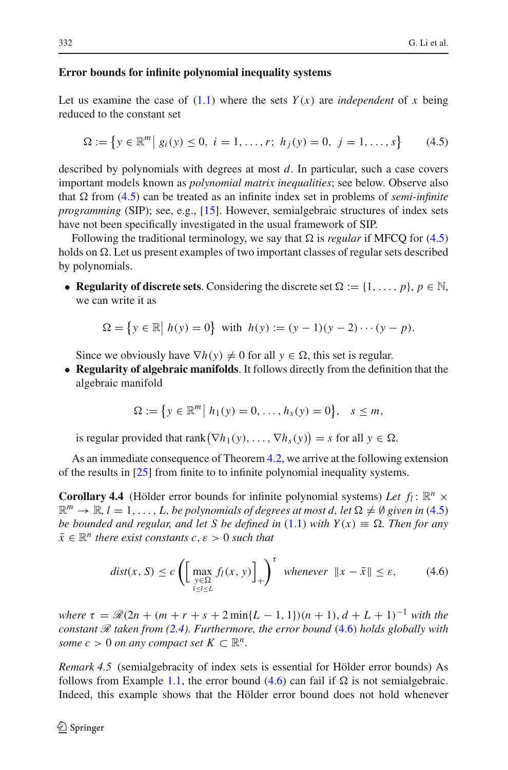#### **Error bounds for infinite polynomial inequality systems**

Let us examine the case of  $(1.1)$  where the sets  $Y(x)$  are *independent* of x being reduced to the constant set

$$
\Omega := \left\{ y \in \mathbb{R}^m \, \middle| \, g_i(y) \le 0, \ i = 1, \dots, r; \ h_j(y) = 0, \ j = 1, \dots, s \right\} \tag{4.5}
$$

<span id="page-19-0"></span>described by polynomials with degrees at most *d*. In particular, such a case covers important models known as *polynomial matrix inequalities*; see below. Observe also that  $\Omega$  from [\(4.5\)](#page-19-0) can be treated as an infinite index set in problems of *semi-infinite programming* (SIP); see, e.g., [\[15](#page-33-17)]. However, semialgebraic structures of index sets have not been specifically investigated in the usual framework of SIP.

Following the traditional terminology, we say that  $\Omega$  is *regular* if MFCQ for [\(4.5\)](#page-19-0) holds on  $\Omega$ . Let us present examples of two important classes of regular sets described by polynomials.

• **Regularity of discrete sets.** Considering the discrete set  $\Omega := \{1, \ldots, p\}, p \in \mathbb{N},$ we can write it as

$$
\Omega = \{ y \in \mathbb{R} \mid h(y) = 0 \} \text{ with } h(y) := (y - 1)(y - 2) \cdots (y - p).
$$

Since we obviously have  $\nabla h(y) \neq 0$  for all  $y \in \Omega$ , this set is regular.

• **Regularity of algebraic manifolds**. It follows directly from the definition that the algebraic manifold

$$
\Omega := \{ y \in \mathbb{R}^m \, \big| \, h_1(y) = 0, \dots, h_s(y) = 0 \}, \quad s \leq m,
$$

is regular provided that rank  $(\nabla h_1(y), \ldots, \nabla h_s(y)) = s$  for all  $y \in \Omega$ .

<span id="page-19-2"></span>As an immediate consequence of Theorem [4.2,](#page-16-3) we arrive at the following extension of the results in [\[25](#page-33-12)] from finite to to infinite polynomial inequality systems.

**Corollary 4.4** (Hölder error bounds for infinite polynomial systems) Let  $f_l$ :  $\mathbb{R}^n \times$  $\mathbb{R}^m \to \mathbb{R}, l = 1, \ldots, L$ , *be polynomials of degrees at most d, let*  $\Omega \neq \emptyset$  given in [\(4.5\)](#page-19-0) *be bounded and regular, and let S be defined in* [\(1.1\)](#page-1-0) *with*  $Y(x) \equiv \Omega$ . *Then for any*  $\bar{x} \in \mathbb{R}^n$  *there exist constants c,*  $\varepsilon > 0$  *such that* 

$$
dist(x, S) \le c \left( \left[ \max_{\substack{y \in \Omega \\ 1 \le l \le L}} f_l(x, y) \right]_+ \right)^{\tau} \text{ whenever } ||x - \bar{x}|| \le \varepsilon,
$$
 (4.6)

<span id="page-19-1"></span>*where*  $\tau = \mathcal{R}(2n + (m + r + s + 2\min\{L - 1, 1\})(n + 1), d + L + 1)^{-1}$  *with the constant R taken from [\(2.4\)](#page-6-1). Furthermore, the error bound* [\(4.6\)](#page-19-1) *holds globally with some*  $c > 0$  *on any compact set*  $K \subset \mathbb{R}^n$ .

*Remark 4.5* (semialgebracity of index sets is essential for Hölder error bounds) As follows from Example [1.1,](#page-2-2) the error bound  $(4.6)$  can fail if  $\Omega$  is not semialgebraic. Indeed, this example shows that the Hölder error bound does not hold whenever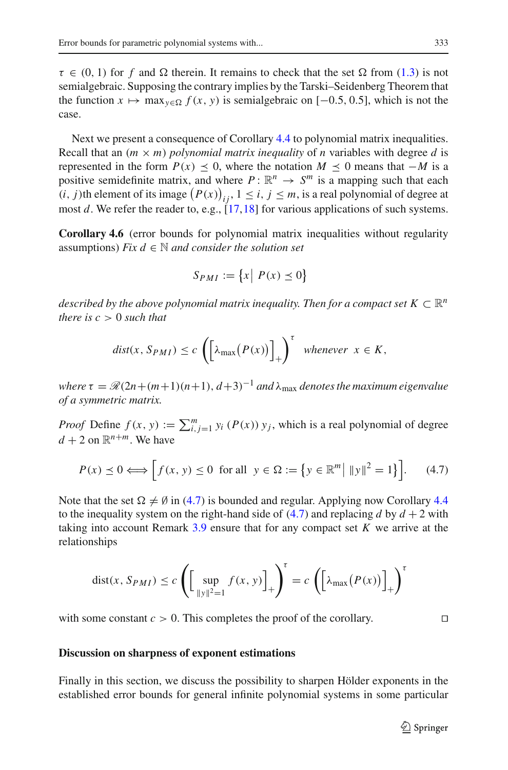$\tau \in (0, 1)$  for f and  $\Omega$  therein. It remains to check that the set  $\Omega$  from [\(1.3\)](#page-3-0) is not semialgebraic. Supposing the contrary implies by the Tarski–Seidenberg Theorem that the function  $x \mapsto \max_{y \in \Omega} f(x, y)$  is semialgebraic on [−0.5, 0.5], which is not the case.

Next we present a consequence of Corollary [4.4](#page-19-2) to polynomial matrix inequalities. Recall that an  $(m \times m)$  *polynomial matrix inequality* of *n* variables with degree *d* is represented in the form  $P(x) \le 0$ , where the notation  $M \le 0$  means that −*M* is a positive semidefinite matrix, and where  $P: \mathbb{R}^n \to S^m$  is a mapping such that each  $(i, j)$ th element of its image  $(P(x))_{ij}$ ,  $1 \le i, j \le m$ , is a real polynomial of degree at most *d*. We refer the reader to, e.g., [\[17](#page-33-18),[18\]](#page-33-19) for various applications of such systems.

<span id="page-20-1"></span>**Corollary 4.6** (error bounds for polynomial matrix inequalities without regularity assumptions) *Fix d*  $\in$  *N and consider the solution set* 

$$
S_{PMI} := \{x \mid P(x) \le 0\}
$$

*described by the above polynomial matrix inequality. Then for a compact set*  $K \subset \mathbb{R}^n$ *there is*  $c > 0$  *such that* 

$$
dist(x, S_{PMI}) \le c \left( \left[ \lambda_{\max} (P(x)) \right]_+ \right)^{\tau} \text{ whenever } x \in K,
$$

*where*  $\tau = \mathcal{R}(2n + (m+1)(n+1), d+3)^{-1}$  *and*  $\lambda_{\text{max}}$  *denotes the maximum eigenvalue of a symmetric matrix.*

*Proof* Define  $f(x, y) := \sum_{i,j=1}^{m} y_i(P(x)) y_j$ , which is a real polynomial of degree  $d + 2$  on  $\mathbb{R}^{n+m}$  We have

$$
P(x) \le 0 \Longleftrightarrow \left[ f(x, y) \le 0 \text{ for all } y \in \Omega := \left\{ y \in \mathbb{R}^m \middle| \|y\|^2 = 1 \right\} \right]. \tag{4.7}
$$

<span id="page-20-0"></span>Note that the set  $\Omega \neq \emptyset$  in [\(4.7\)](#page-20-0) is bounded and regular. Applying now Corollary [4.4](#page-19-2) to the inequality system on the right-hand side of  $(4.7)$  and replacing *d* by  $d + 2$  with taking into account Remark [3.9](#page-16-2) ensure that for any compact set *K* we arrive at the relationships

$$
dist(x, S_{PMI}) \le c \left( \left[ \sup_{\|y\|^2 = 1} f(x, y) \right]_+ \right)^{\tau} = c \left( \left[ \lambda_{\max} (P(x)) \right]_+ \right)^{\tau}
$$

with some constant  $c > 0$ . This completes the proof of the corollary.

## **Discussion on sharpness of exponent estimations**

Finally in this section, we discuss the possibility to sharpen Hölder exponents in the established error bounds for general infinite polynomial systems in some particular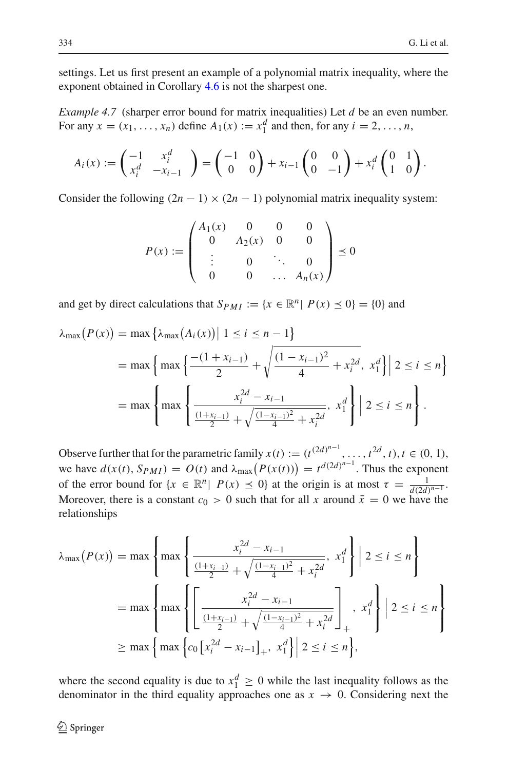settings. Let us first present an example of a polynomial matrix inequality, where the exponent obtained in Corollary [4.6](#page-20-1) is not the sharpest one.

*Example 4.7* (sharper error bound for matrix inequalities) Let *d* be an even number. For any  $x = (x_1, \ldots, x_n)$  define  $A_1(x) := x_1^d$  and then, for any  $i = 2, \ldots, n$ ,

$$
A_i(x) := \begin{pmatrix} -1 & x_i^d \\ x_i^d & -x_{i-1} \end{pmatrix} = \begin{pmatrix} -1 & 0 \\ 0 & 0 \end{pmatrix} + x_{i-1} \begin{pmatrix} 0 & 0 \\ 0 & -1 \end{pmatrix} + x_i^d \begin{pmatrix} 0 & 1 \\ 1 & 0 \end{pmatrix}.
$$

Consider the following  $(2n - 1) \times (2n - 1)$  polynomial matrix inequality system:

$$
P(x) := \begin{pmatrix} A_1(x) & 0 & 0 & 0 \\ 0 & A_2(x) & 0 & 0 \\ \vdots & 0 & \ddots & 0 \\ 0 & 0 & \dots & A_n(x) \end{pmatrix} \preceq 0
$$

and get by direct calculations that  $S_{PMI} := \{x \in \mathbb{R}^n | P(x) \le 0\} = \{0\}$  and

$$
\lambda_{\max}(P(x)) = \max \left\{ \lambda_{\max}(A_i(x)) \middle| 1 \le i \le n - 1 \right\}
$$
  
= 
$$
\max \left\{ \max \left\{ \frac{-(1 + x_{i-1})}{2} + \sqrt{\frac{(1 - x_{i-1})^2}{4} + x_i^{2d}}, x_1^d \right\} \middle| 2 \le i \le n \right\}
$$
  
= 
$$
\max \left\{ \max \left\{ \frac{x_i^{2d} - x_{i-1}}{\frac{(1 + x_{i-1})^2}{4} + x_i^{2d}}, x_1^d \right\} \middle| 2 \le i \le n \right\}.
$$

Observe further that for the parametric family  $x(t) := (t^{(2d)^{n-1}}, \ldots, t^{2d}, t), t \in (0, 1),$ we have  $d(x(t), S_{PMI}) = O(t)$  and  $\lambda_{\text{max}}(P(x(t))) = t^{d(2d)^{n-1}}$ . Thus the exponent of the error bound for  $\{x \in \mathbb{R}^n | P(x) \le 0\}$  at the origin is at most  $\tau = \frac{1}{d(2d)^{n-1}}$ . Moreover, there is a constant  $c_0 > 0$  such that for all x around  $\bar{x} = 0$  we have the relationships

$$
\lambda_{\max}(P(x)) = \max \left\{ \max \left\{ \frac{x_i^{2d} - x_{i-1}}{\frac{(1+x_{i-1})}{2} + \sqrt{\frac{(1-x_{i-1})^2}{4} + x_i^{2d}}}, x_i^d \right\} \middle| 2 \le i \le n \right\}
$$

$$
= \max \left\{ \max \left\{ \left[ \frac{x_i^{2d} - x_{i-1}}{\frac{(1+x_{i-1})}{2} + \sqrt{\frac{(1-x_{i-1})^2}{4} + x_i^{2d}}} \right], x_i^d \right\} \middle| 2 \le i \le n \right\}
$$

$$
\ge \max \left\{ \max \left\{ c_0 \left[ x_i^{2d} - x_{i-1} \right]_+, x_1^d \right\} \middle| 2 \le i \le n \right\},
$$

where the second equality is due to  $x_1^d \geq 0$  while the last inequality follows as the denominator in the third equality approaches one as  $x \to 0$ . Considering next the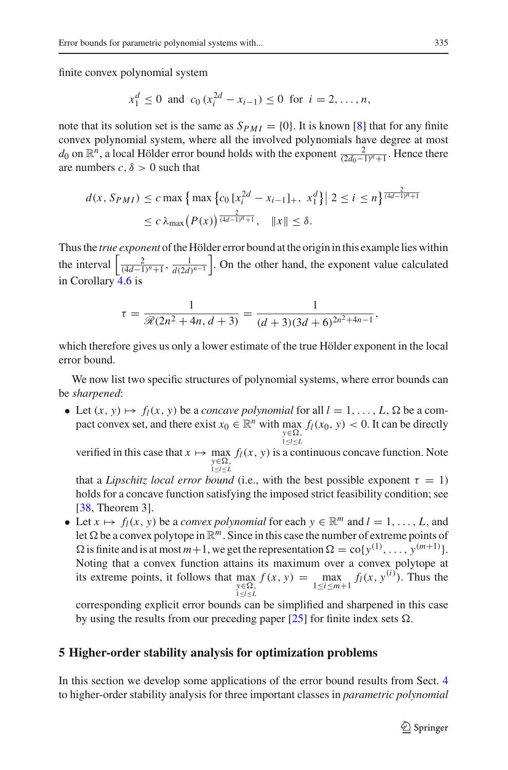finite convex polynomial system

$$
x_1^d \le 0
$$
 and  $c_0(x_i^{2d} - x_{i-1}) \le 0$  for  $i = 2, ..., n$ ,

note that its solution set is the same as  $S_{PMI} = \{0\}$ . It is known [\[8\]](#page-32-2) that for any finite convex polynomial system, where all the involved polynomials have degree at most *d*<sub>0</sub> on ℝ<sup>*n*</sup>, a local Hölder error bound holds with the exponent  $\frac{2}{(2d_0-1)^n+1}$ . Hence there are numbers  $c, \delta > 0$  such that

$$
d(x, S_{PMI}) \le c \max \{ \max \{ c_0 [x_i^{2d} - x_{i-1}]_+, x_1^d \} | 2 \le i \le n \}^{\frac{2}{(4d-1)^n + 1}}
$$
  
 
$$
\le c \lambda_{\max} (P(x))^{\frac{2}{(4d-1)^n + 1}}, \quad ||x|| \le \delta.
$$

Thus the *true exponent* of the Hölder error bound at the origin in this example lies within the interval  $\left[\frac{2}{(4d-1)^n+1}, \frac{1}{d(2d)^{n-1}}\right]$ . On the other hand, the exponent value calculated in Corollary  $4.6$  is

$$
\tau = \frac{1}{\mathcal{R}(2n^2 + 4n, d+3)} = \frac{1}{(d+3)(3d+6)^{2n^2+4n-1}},
$$

which therefore gives us only a lower estimate of the true Hölder exponent in the local error bound.

We now list two specific structures of polynomial systems, where error bounds can be *sharpened*:

• Let  $(x, y) \mapsto f_l(x, y)$  be a *concave polynomial* for all  $l = 1, \ldots, L$ ,  $\Omega$  be a compact convex set, and there exist  $x_0 \in \mathbb{R}^n$  with  $\max_{y \in \Omega} f_l(x_0, y) < 0$ . It can be directly *y*∈Ω,<br>1≤*l*≤*L* 

verified in this case that  $x \mapsto \max_{y \in \Omega} f_l(x, y)$  is a continuous concave function. Note *y*≤*l*≤*L* 

that a *Lipschitz local error bound* (i.e., with the best possible exponent  $\tau = 1$ ) holds for a concave function satisfying the imposed strict feasibility condition; see [\[38,](#page-33-20) Theorem 3].

• Let  $x \mapsto f_l(x, y)$  be a *convex polynomial* for each  $y \in \mathbb{R}^m$  and  $l = 1, \ldots, L$ , and let  $\Omega$  be a convex polytope in  $\mathbb{R}^m$ . Since in this case the number of extreme points of  $\Omega$  is finite and is at most  $m+1$ , we get the representation  $\Omega = \text{co}\lbrace y^{(1)}, \ldots, y^{(m+1)} \rbrace$ . Noting that a convex function attains its maximum over a convex polytope at its extreme points, it follows that max *y*∈Ω,<br>1≤*l*≤*L*  $f(x, y) = \max_{1 \le i \le m+1} f_l(x, y^{(i)})$ . Thus the

corresponding explicit error bounds can be simplified and sharpened in this case by using the results from our preceding paper  $[25]$  for finite index sets  $\Omega$ .

## <span id="page-22-0"></span>**5 Higher-order stability analysis for optimization problems**

In this section we develop some applications of the error bound results from Sect. [4](#page-16-0) to higher-order stability analysis for three important classes in *parametric polynomial*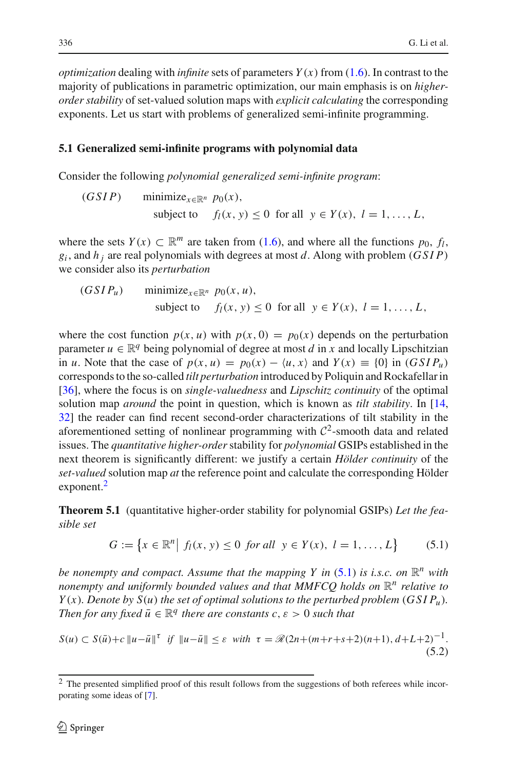*optimization* dealing with *infinite* sets of parameters  $Y(x)$  from [\(1.6\)](#page-4-0). In contrast to the majority of publications in parametric optimization, our main emphasis is on *higherorder stability* of set-valued solution maps with *explicit calculating* the corresponding exponents. Let us start with problems of generalized semi-infinite programming.

#### <span id="page-23-4"></span>**5.1 Generalized semi-infinite programs with polynomial data**

Consider the following *polynomial generalized semi-infinite program*:

(GSIP) minimize<sub>x \in \mathbb{R}^n</sub> 
$$
p_0(x)
$$
,  
subject to  $f_l(x, y) \le 0$  for all  $y \in Y(x)$ ,  $l = 1, ..., L$ ,

where the sets  $Y(x) \subset \mathbb{R}^m$  are taken from [\(1.6\)](#page-4-0), and where all the functions  $p_0$ ,  $f_l$ ,  $g_i$ , and  $h_i$  are real polynomials with degrees at most *d*. Along with problem (*GSIP*) we consider also its *perturbation*

$$
(GSI P_u) \qquad \text{minimize}_{x \in \mathbb{R}^n} \quad p_0(x, u),
$$
\n
$$
\text{subject to} \qquad f_l(x, y) \le 0 \quad \text{for all} \quad y \in Y(x), \ l = 1, \dots, L,
$$

where the cost function  $p(x, u)$  with  $p(x, 0) = p_0(x)$  depends on the perturbation parameter  $u \in \mathbb{R}^q$  being polynomial of degree at most *d* in *x* and locally Lipschitzian in *u*. Note that the case of  $p(x, u) = p_0(x) - \langle u, x \rangle$  and  $Y(x) \equiv \{0\}$  in  $(GSIP_u)$ corresponds to the so-called *tilt perturbation* introduced by Poliquin and Rockafellar in [\[36](#page-33-21)], where the focus is on *single-valuedness* and *Lipschitz continuity* of the optimal solution map *around* the point in question, which is known as *tilt stability*. In [\[14,](#page-33-22) [32\]](#page-33-23) the reader can find recent second-order characterizations of tilt stability in the aforementioned setting of nonlinear programming with  $C<sup>2</sup>$ -smooth data and related issues. The *quantitative higher-order*stability for *polynomial* GSIPs established in the next theorem is significantly different: we justify a certain *Hölder continuity* of the *set-valued* solution map *at* the reference point and calculate the corresponding Hölder exponent.<sup>2</sup>

<span id="page-23-3"></span>**Theorem 5.1** (quantitative higher-order stability for polynomial GSIPs) *Let the feasible set*

$$
G := \{ x \in \mathbb{R}^n \mid f_l(x, y) \le 0 \text{ for all } y \in Y(x), l = 1, ..., L \}
$$
 (5.1)

<span id="page-23-1"></span>*be nonempty and compact. Assume that the mapping Y in*  $(5.1)$  *is i.s.c. on*  $\mathbb{R}^n$  *with nonempty and uniformly bounded values and that MMFCQ holds on*  $\mathbb{R}^n$  *relative to Y*(*x*)*. Denote by S*(*u*) *the set of optimal solutions to the perturbed problem* (*GSIP<sub>u</sub>*)*. Then for any fixed*  $\bar{u} \in \mathbb{R}^q$  *there are constants c, ε* > 0 *such that* 

<span id="page-23-2"></span>
$$
S(u) \subset S(\bar{u}) + c \|u - \bar{u}\|^{r} \text{ if } \|u - \bar{u}\| \leq \varepsilon \text{ with } \tau = \mathcal{R}(2n + (m + r + s + 2)(n + 1), d + L + 2)^{-1}.
$$
\n(5.2)

<span id="page-23-0"></span> $<sup>2</sup>$  The presented simplified proof of this result follows from the suggestions of both referees while incor-</sup> porating some ideas of [\[7\]](#page-32-6).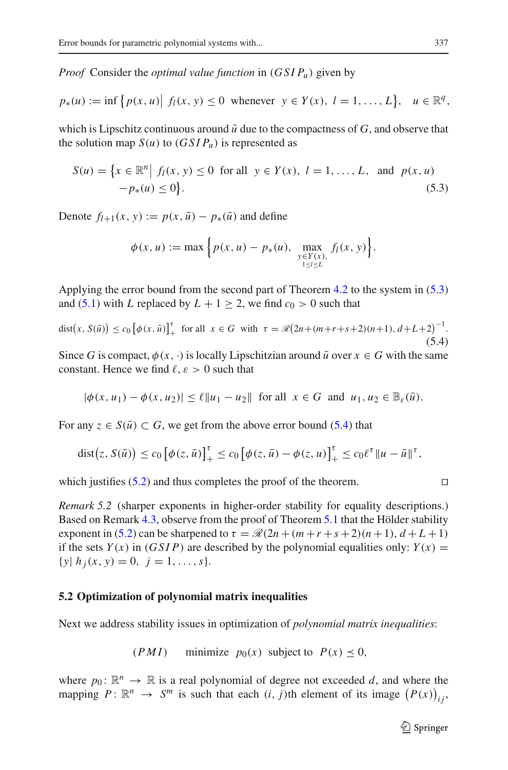*Proof* Consider the *optimal value function* in (*GSIPu*) given by

$$
p_*(u) := \inf \{ p(x, u) | f_l(x, y) \le 0 \text{ whenever } y \in Y(x), l = 1, ..., L \}, u \in \mathbb{R}^q,
$$

<span id="page-24-0"></span>which is Lipschitz continuous around  $\bar{u}$  due to the compactness of  $G$ , and observe that the solution map  $S(u)$  to  $(GSIP_u)$  is represented as

$$
S(u) = \{x \in \mathbb{R}^n | f_l(x, y) \le 0 \text{ for all } y \in Y(x), l = 1, ..., L, \text{ and } p(x, u) -p_*(u) \le 0\}.
$$
\n(5.3)

Denote  $f_{l+1}(x, y) := p(x, \bar{u}) - p_*(\bar{u})$  and define

$$
\phi(x, u) := \max \Big\{ p(x, u) - p_*(u), \max_{\substack{y \in Y(x), \\ 1 \le l \le L}} f_l(x, y) \Big\}.
$$

Applying the error bound from the second part of Theorem [4.2](#page-16-3) to the system in [\(5.3\)](#page-24-0) and [\(5.1\)](#page-24-0) with *L* replaced by  $L + 1 \ge 2$ , we find  $c_0 > 0$  such that

<span id="page-24-1"></span>
$$
dist(x, S(\bar{u})) \le c_0 \left[ \phi(x, \bar{u}) \right]_+^{\tau} \text{ for all } x \in G \text{ with } \tau = \mathcal{R} \left( 2n + (m + r + s + 2)(n + 1), d + L + 2 \right)^{-1}.
$$
\n(5.4)

Since *G* is compact,  $\phi(x, \cdot)$  is locally Lipschitzian around  $\bar{u}$  over  $x \in G$  with the same constant. Hence we find  $\ell$ ,  $\varepsilon > 0$  such that

$$
|\phi(x, u_1) - \phi(x, u_2)| \le \ell ||u_1 - u_2||
$$
 for all  $x \in G$  and  $u_1, u_2 \in \mathbb{B}_{\varepsilon}(\bar{u})$ .

For any  $z \in S(\bar{u}) \subset G$ , we get from the above error bound [\(5.4\)](#page-24-1) that

$$
\text{dist}\big(z,\,S(\bar{u})\big)\leq c_0\,\big[\phi(z,\bar{u})\big]_+^{\tau}\leq c_0\,\big[\phi(z,\bar{u})-\phi(z,u)\big]_+^{\tau}\leq c_0\ell^{\tau}\|u-\bar{u}\|^{\tau},
$$

<span id="page-24-2"></span>which justifies [\(5.2\)](#page-23-2) and thus completes the proof of the theorem.

*Remark 5.2* (sharper exponents in higher-order stability for equality descriptions.) Based on Remark [4.3,](#page-18-0) observe from the proof of Theorem [5.1](#page-23-3) that the Hölder stability exponent in [\(5.2\)](#page-23-2) can be sharpened to  $\tau = \mathcal{R}(2n + (m+r+s+2)(n+1), d+L+1)$ if the sets  $Y(x)$  in  $(GSIP)$  are described by the polynomial equalities only:  $Y(x) =$  $\{y \mid h_i(x, y) = 0, \ j = 1, \ldots, s\}.$ 

#### **5.2 Optimization of polynomial matrix inequalities**

Next we address stability issues in optimization of *polynomial matrix inequalities*:

$$
(PMI) \qquad \text{minimize} \quad p_0(x) \text{ subject to} \quad P(x) \le 0,
$$

where  $p_0: \mathbb{R}^n \to \mathbb{R}$  is a real polynomial of degree not exceeded *d*, and where the mapping  $P: \mathbb{R}^n \to S^m$  is such that each  $(i, j)$ th element of its image  $(P(x))_{ij}$ ,

$$
\Box
$$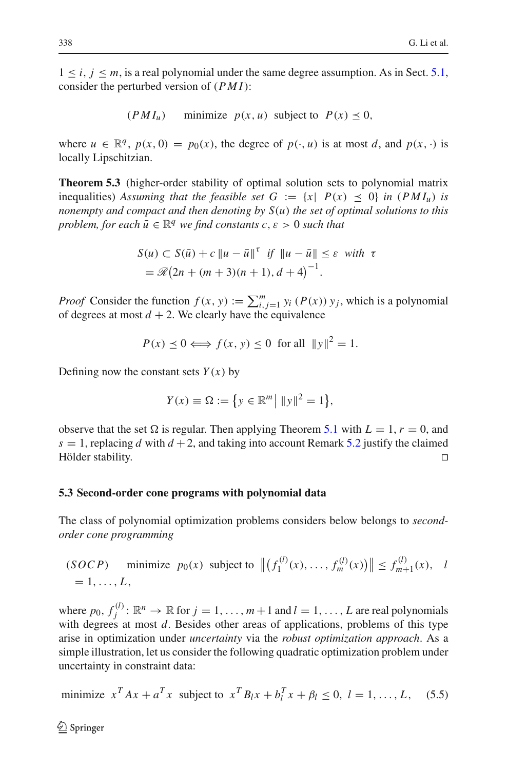$1 \le i, j \le m$ , is a real polynomial under the same degree assumption. As in Sect. [5.1,](#page-23-4) consider the perturbed version of (*PMI*):

 $(PMI_u)$  minimize  $p(x, u)$  subject to  $P(x) \leq 0$ ,

where  $u \in \mathbb{R}^q$ ,  $p(x, 0) = p_0(x)$ , the degree of  $p(\cdot, u)$  is at most *d*, and  $p(x, \cdot)$  is locally Lipschitzian.

**Theorem 5.3** (higher-order stability of optimal solution sets to polynomial matrix inequalities) Assuming that the feasible set  $G := \{x \mid P(x) \leq 0\}$  in  $(PMI_u)$  is *nonempty and compact and then denoting by S*(*u*) *the set of optimal solutions to this problem, for each*  $\bar{u} \in \mathbb{R}^q$  *we find constants c, ε* > 0 *such that* 

$$
S(u) \subset S(\bar{u}) + c \|u - \bar{u}\|^{\tau} \text{ if } \|u - \bar{u}\| \le \varepsilon \text{ with } \tau
$$
  
=  $\Re(2n + (m+3)(n+1), d+4)^{-1}$ .

*Proof* Consider the function  $f(x, y) := \sum_{i,j=1}^{m} y_i(P(x)) y_j$ , which is a polynomial of degrees at most  $d + 2$ . We clearly have the equivalence

$$
P(x) \le 0 \Longleftrightarrow f(x, y) \le 0 \text{ for all } ||y||^2 = 1.
$$

Defining now the constant sets  $Y(x)$  by

$$
Y(x) \equiv \Omega := \{ y \in \mathbb{R}^m \mid ||y||^2 = 1 \},\
$$

observe that the set  $\Omega$  is regular. Then applying Theorem [5.1](#page-23-3) with  $L = 1$ ,  $r = 0$ , and  $s = 1$ , replacing *d* with  $d + 2$ , and taking into account Remark [5.2](#page-24-2) justify the claimed Hölder stability. Hölder stability.

#### **5.3 Second-order cone programs with polynomial data**

The class of polynomial optimization problems considers below belongs to *secondorder cone programming*

$$
(SOCP)
$$
 minimize  $p_0(x)$  subject to  $||(f_1^{(l)}(x), ..., f_m^{(l)}(x))|| \le f_{m+1}^{(l)}(x), l$   
= 1, ..., L,

where  $p_0, f_j^{(l)} : \mathbb{R}^n \to \mathbb{R}$  for  $j = 1, \ldots, m+1$  and  $l = 1, \ldots, L$  are real polynomials with degrees at most *d*. Besides other areas of applications, problems of this type arise in optimization under *uncertainty* via the *robust optimization approach*. As a simple illustration, let us consider the following quadratic optimization problem under uncertainty in constraint data:

minimize 
$$
x^T Ax + a^T x
$$
 subject to  $x^T B_l x + b_l^T x + \beta_l \le 0$ ,  $l = 1, ..., L$ , (5.5)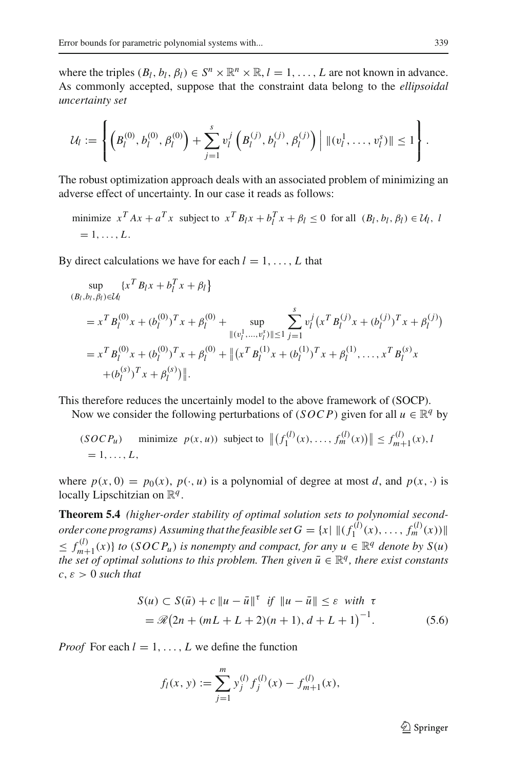where the triples  $(B_l, b_l, \beta_l) \in S^n \times \mathbb{R}^n \times \mathbb{R}, l = 1, \ldots, L$  are not known in advance. As commonly accepted, suppose that the constraint data belong to the *ellipsoidal uncertainty set*

$$
\mathcal{U}_l := \left\{ \left(B_l^{(0)}, b_l^{(0)}, \beta_l^{(0)}\right) + \sum_{j=1}^s v_l^j \left(B_l^{(j)}, b_l^{(j)}, \beta_l^{(j)}\right) \middle| \, \|(v_l^1, \dots, v_l^s)\| \le 1 \right\}.
$$

The robust optimization approach deals with an associated problem of minimizing an adverse effect of uncertainty. In our case it reads as follows:

minimize  $x^T Ax + a^T x$  subject to  $x^T B_l x + b_l^T x + \beta_l \le 0$  for all  $(B_l, b_l, \beta_l) \in \mathcal{U}_l$ , i  $= 1, \ldots, L$ .

By direct calculations we have for each  $l = 1, \ldots, L$  that

$$
\sup_{(B_l, b_l, \beta_l) \in \mathcal{U}_l} \{x^T B_l x + b_l^T x + \beta_l\}
$$
\n
$$
= x^T B_l^{(0)} x + (b_l^{(0)})^T x + \beta_l^{(0)} + \sup_{\|(v_l^1, \dots, v_l^s)\| \le 1} \sum_{j=1}^s v_l^j (x^T B_l^{(j)} x + (b_l^{(j)})^T x + \beta_l^{(j)})
$$
\n
$$
= x^T B_l^{(0)} x + (b_l^{(0)})^T x + \beta_l^{(0)} + \|(x^T B_l^{(1)} x + (b_l^{(1)})^T x + \beta_l^{(1)}, \dots, x^T B_l^{(s)} x + (b_l^{(s)})^T x + \beta_l^{(s)})\|.
$$

This therefore reduces the uncertainly model to the above framework of (SOCP).

Now we consider the following perturbations of (*SOCP*) given for all  $u \in \mathbb{R}^q$  by

$$
(SOCP_u)
$$
 minimize  $p(x, u)$  subject to  $||(f_1^{(l)}(x), ..., f_m^{(l)}(x))|| \le f_{m+1}^{(l)}(x), l$   
= 1, ..., L,

where  $p(x, 0) = p_0(x), p(\cdot, u)$  is a polynomial of degree at most *d*, and  $p(x, \cdot)$  is locally Lipschitzian on R*<sup>q</sup>* .

**Theorem 5.4** *(higher-order stability of optimal solution sets to polynomial secondorder cone programs)* Assuming that the feasible set  $G = \{x | \|(f_1^{(l)}(x), \ldots, f_m^{(l)}(x))\|$  $\leq f_{m+1}^{(l)}(x)$  *to* (*SOCP<sub>u</sub>*) *is nonempty and compact, for any*  $u \in \mathbb{R}^q$  *denote by*  $S(u)$ *the set of optimal solutions to this problem. Then given*  $\bar{u} \in \mathbb{R}^q$ , there exist constants  $c, \varepsilon > 0$  *such that* 

$$
S(u) \subset S(\bar{u}) + c \|u - \bar{u}\|^{\tau} \text{ if } \|u - \bar{u}\| \le \varepsilon \text{ with } \tau
$$
  
=  $\Re(2n + (mL + L + 2)(n + 1), d + L + 1)^{-1}$ . (5.6)

<span id="page-26-0"></span>*Proof* For each  $l = 1, \ldots, L$  we define the function

$$
f_l(x, y) := \sum_{j=1}^m y_j^{(l)} f_j^{(l)}(x) - f_{m+1}^{(l)}(x),
$$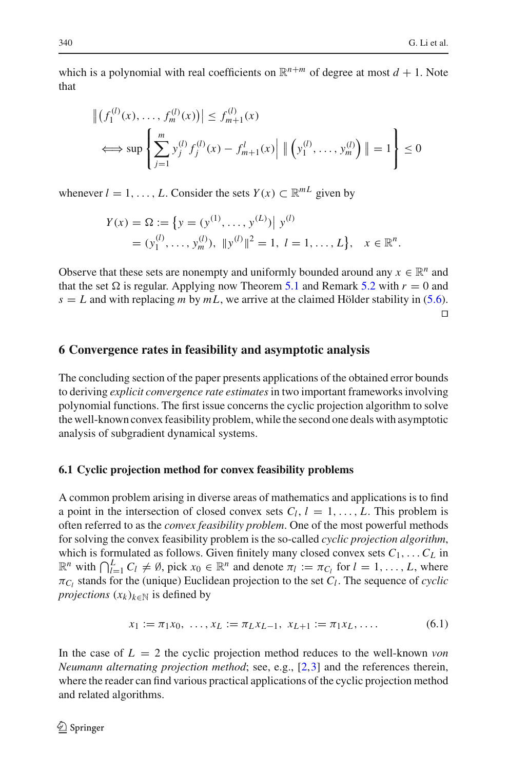which is a polynomial with real coefficients on  $\mathbb{R}^{n+m}$  of degree at most  $d+1$ . Note that

$$
\left\| \left( f_1^{(l)}(x), \dots, f_m^{(l)}(x) \right) \right\| \le f_{m+1}^{(l)}(x)
$$
  

$$
\iff \sup \left\{ \sum_{j=1}^m y_j^{(l)} f_j^{(l)}(x) - f_{m+1}^l(x) \right\} \left\| \left( y_1^{(l)}, \dots, y_m^{(l)} \right) \right\| = 1 \right\} \le 0
$$

whenever  $l = 1, \ldots, L$ . Consider the sets  $Y(x) \subset \mathbb{R}^{mL}$  given by

$$
Y(x) = \Omega := \{ y = (y^{(1)}, \dots, y^{(L)}) | y^{(l)} \}
$$
  
=  $(y_1^{(l)}, \dots, y_m^{(l)})$ ,  $||y^{(l)}||^2 = 1$ ,  $l = 1, \dots, L \}$ ,  $x \in \mathbb{R}^n$ .

Observe that these sets are nonempty and uniformly bounded around any  $x \in \mathbb{R}^n$  and that the set  $\Omega$  is regular. Applying now Theorem [5.1](#page-23-3) and Remark [5.2](#page-24-2) with  $r = 0$  and  $s = L$  and with replacing *m* by  $mL$ , we arrive at the claimed Hölder stability in [\(5.6\)](#page-26-0).  $\Box$ 

#### <span id="page-27-0"></span>**6 Convergence rates in feasibility and asymptotic analysis**

The concluding section of the paper presents applications of the obtained error bounds to deriving *explicit convergence rate estimates*in two important frameworks involving polynomial functions. The first issue concerns the cyclic projection algorithm to solve the well-known convex feasibility problem, while the second one deals with asymptotic analysis of subgradient dynamical systems.

#### **6.1 Cyclic projection method for convex feasibility problems**

A common problem arising in diverse areas of mathematics and applications is to find a point in the intersection of closed convex sets  $C_l$ ,  $l = 1, \ldots, L$ . This problem is often referred to as the *convex feasibility problem*. One of the most powerful methods for solving the convex feasibility problem is the so-called *cyclic projection algorithm*, which is formulated as follows. Given finitely many closed convex sets  $C_1, \ldots, C_L$  in  $\mathbb{R}^n$  with  $\bigcap_{l=1}^L C_l \neq \emptyset$ , pick  $x_0 \in \mathbb{R}^n$  and denote  $\pi_l := \pi_{C_l}$  for  $l = 1, \ldots, L$ , where  $\pi_{C_l}$  stands for the (unique) Euclidean projection to the set  $C_l$ . The sequence of *cyclic projections*  $(x_k)_{k \in \mathbb{N}}$  is defined by

$$
x_1 := \pi_1 x_0, \ \dots, x_L := \pi_L x_{L-1}, \ x_{L+1} := \pi_1 x_L, \dots \tag{6.1}
$$

<span id="page-27-1"></span>In the case of  $L = 2$  the cyclic projection method reduces to the well-known *von Neumann alternating projection method*; see, e.g., [\[2](#page-32-7)[,3](#page-32-8)] and the references therein, where the reader can find various practical applications of the cyclic projection method and related algorithms.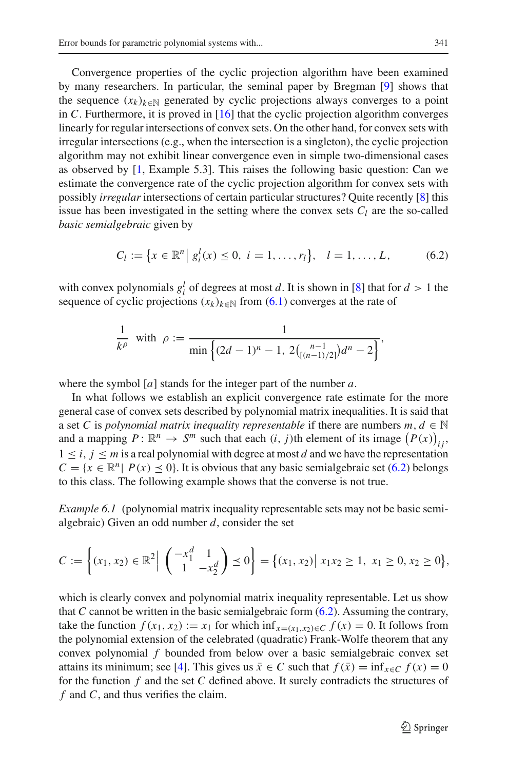Convergence properties of the cyclic projection algorithm have been examined by many researchers. In particular, the seminal paper by Bregman [\[9](#page-32-9)] shows that the sequence  $(x_k)_{k \in \mathbb{N}}$  generated by cyclic projections always converges to a point in  $C$ . Furthermore, it is proved in  $[16]$  that the cyclic projection algorithm converges linearly for regular intersections of convex sets. On the other hand, for convex sets with irregular intersections (e.g., when the intersection is a singleton), the cyclic projection algorithm may not exhibit linear convergence even in simple two-dimensional cases as observed by [\[1](#page-32-10), Example 5.3]. This raises the following basic question: Can we estimate the convergence rate of the cyclic projection algorithm for convex sets with possibly *irregular* intersections of certain particular structures? Quite recently [\[8](#page-32-2)] this issue has been investigated in the setting where the convex sets  $C_l$  are the so-called *basic semialgebraic* given by

$$
C_l := \{ x \in \mathbb{R}^n \mid g_i^l(x) \le 0, \ i = 1, \dots, r_l \}, \quad l = 1, \dots, L, \tag{6.2}
$$

<span id="page-28-0"></span>with convex polynomials  $g_i^l$  of degrees at most *d*. It is shown in [\[8\]](#page-32-2) that for  $d > 1$  the sequence of cyclic projections  $(x_k)_{k \in \mathbb{N}}$  from [\(6.1\)](#page-27-1) converges at the rate of

$$
\frac{1}{k^{\rho}} \text{ with } \rho := \frac{1}{\min\left\{(2d-1)^n - 1, 2\binom{n-1}{\lfloor (n-1)/2 \rfloor} d^n - 2\right\}},
$$

where the symbol [*a*] stands for the integer part of the number *a*.

In what follows we establish an explicit convergence rate estimate for the more general case of convex sets described by polynomial matrix inequalities. It is said that a set *C* is *polynomial matrix inequality representable* if there are numbers  $m, d \in \mathbb{N}$ and a mapping  $P: \mathbb{R}^n \to S^m$  such that each  $(i, j)$ th element of its image  $(P(x))_{ij}$ ,  $1 \leq i, j \leq m$  is a real polynomial with degree at most *d* and we have the representation  $C = \{x \in \mathbb{R}^n | P(x) \le 0\}$ . It is obvious that any basic semialgebraic set [\(6.2\)](#page-28-0) belongs to this class. The following example shows that the converse is not true.

*Example 6.1* (polynomial matrix inequality representable sets may not be basic semialgebraic) Given an odd number *d*, consider the set

$$
C := \left\{ (x_1, x_2) \in \mathbb{R}^2 \middle| \begin{pmatrix} -x_1^d & 1 \\ 1 & -x_2^d \end{pmatrix} \preceq 0 \right\} = \left\{ (x_1, x_2) \middle| x_1 x_2 \ge 1, x_1 \ge 0, x_2 \ge 0 \right\},\
$$

which is clearly convex and polynomial matrix inequality representable. Let us show that *C* cannot be written in the basic semialgebraic form [\(6.2\)](#page-28-0). Assuming the contrary, take the function  $f(x_1, x_2) := x_1$  for which inf $f(x_1, x_2) \in C$   $f(x) = 0$ . It follows from the polynomial extension of the celebrated (quadratic) Frank-Wolfe theorem that any convex polynomial *f* bounded from below over a basic semialgebraic convex set attains its minimum; see [\[4\]](#page-32-11). This gives us  $\bar{x} \in C$  such that  $f(\bar{x}) = \inf_{x \in C} f(x) = 0$ for the function *f* and the set *C* defined above. It surely contradicts the structures of *f* and *C*, and thus verifies the claim.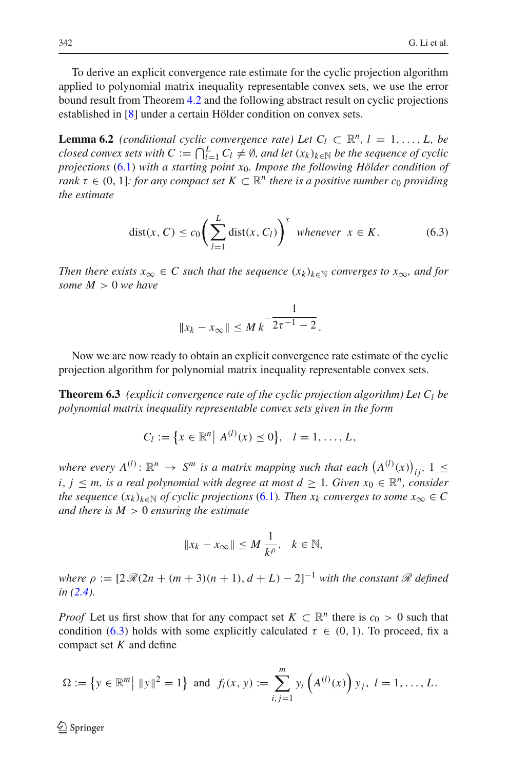To derive an explicit convergence rate estimate for the cyclic projection algorithm applied to polynomial matrix inequality representable convex sets, we use the error bound result from Theorem [4.2](#page-16-3) and the following abstract result on cyclic projections established in [\[8](#page-32-2)] under a certain Hölder condition on convex sets.

<span id="page-29-1"></span>**Lemma 6.2** *(conditional cyclic convergence rate)* Let  $C_l \subset \mathbb{R}^n$ ,  $l = 1, \ldots, L$ , be *closed convex sets with C* :=  $\bigcap_{l=1}^{L} C_l \neq \emptyset$ , and let  $(x_k)_{k \in \mathbb{N}}$  be the sequence of cyclic *projections* [\(6.1\)](#page-27-1) *with a starting point x*0*. Impose the following Hölder condition of rank*  $\tau \in (0, 1]$ *: for any compact set*  $K \subset \mathbb{R}^n$  *there is a positive number c<sub>0</sub> providing the estimate*

$$
dist(x, C) \le c_0 \left( \sum_{l=1}^L dist(x, C_l) \right)^{\tau} \text{ whenever } x \in K. \tag{6.3}
$$

<span id="page-29-0"></span>*Then there exists*  $x_{\infty} \in C$  *such that the sequence*  $(x_k)_{k \in \mathbb{N}}$  *converges to*  $x_{\infty}$ *, and for some M* > 0 *we have*

$$
||x_k - x_{\infty}|| \leq M k^{-\frac{1}{2\tau^{-1} - 2}}.
$$

Now we are now ready to obtain an explicit convergence rate estimate of the cyclic projection algorithm for polynomial matrix inequality representable convex sets.

**Theorem 6.3** *(explicit convergence rate of the cyclic projection algorithm) Let*  $C_l$  *be polynomial matrix inequality representable convex sets given in the form*

$$
C_l := \{ x \in \mathbb{R}^n \, \big| \, A^{(l)}(x) \leq 0 \}, \quad l = 1, \dots, L,
$$

where every  $A^{(l)}$ :  $\mathbb{R}^n \to S^m$  is a matrix mapping such that each  $(A^{(l)}(x))_{ij}$ ,  $1 \leq$ *i*, *j* ≤ *m*, *is a real polynomial with degree at most*  $d$  *≥ 1. Given*  $x_0$  *∈*  $\mathbb{R}^n$ *, consider the sequence*  $(x_k)_{k \in \mathbb{N}}$  *of cyclic projections* [\(6.1\)](#page-27-1)*. Then*  $x_k$  *converges to some*  $x_\infty \in C$ *and there is M* > 0 *ensuring the estimate*

$$
||x_k - x_{\infty}|| \le M \frac{1}{k^{\rho}}, \quad k \in \mathbb{N},
$$

*where*  $\rho := [2 \mathcal{R}(2n + (m+3)(n+1), d+L) - 2]^{-1}$  *with the constant*  $\mathcal{R}$  *defined in [\(2.4\)](#page-6-1).*

*Proof* Let us first show that for any compact set  $K \subset \mathbb{R}^n$  there is  $c_0 > 0$  such that condition [\(6.3\)](#page-29-0) holds with some explicitly calculated  $\tau \in (0, 1)$ . To proceed, fix a compact set *K* and define

$$
\Omega := \left\{ y \in \mathbb{R}^m \middle| \ \|y\|^2 = 1 \right\} \text{ and } f_l(x, y) := \sum_{i,j=1}^m y_i \left( A^{(l)}(x) \right) y_j, \ l = 1, \dots, L.
$$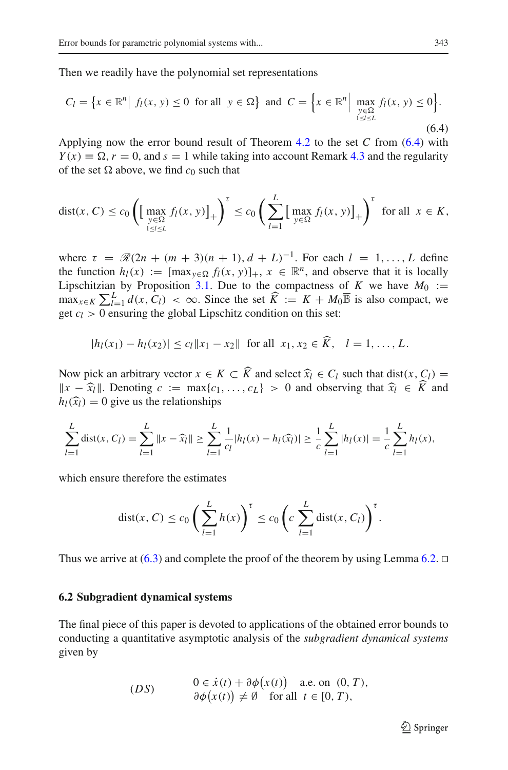<span id="page-30-0"></span>Then we readily have the polynomial set representations

$$
C_l = \left\{ x \in \mathbb{R}^n \middle| f_l(x, y) \le 0 \text{ for all } y \in \Omega \right\} \text{ and } C = \left\{ x \in \mathbb{R}^n \middle| \max_{\substack{y \in \Omega \\ 1 \le l \le L}} f_l(x, y) \le 0 \right\}.
$$
\n
$$
(6.4)
$$

Applying now the error bound result of Theorem [4.2](#page-16-3) to the set *C* from [\(6.4\)](#page-30-0) with  $Y(x) \equiv \Omega$ ,  $r = 0$ , and  $s = 1$  while taking into account Remark [4.3](#page-18-0) and the regularity of the set  $\Omega$  above, we find  $c_0$  such that

$$
\text{dist}(x, C) \le c_0 \left( \left[ \max_{\substack{y \in \Omega \\ 1 \le l \le L}} f_l(x, y) \right]_+ \right)^{\tau} \le c_0 \left( \sum_{l=1}^L \left[ \max_{y \in \Omega} f_l(x, y) \right]_+ \right)^{\tau} \text{ for all } x \in K,
$$

where  $\tau = \mathcal{R}(2n + (m+3)(n+1), d+L)^{-1}$ . For each  $l = 1, ..., L$  define the function  $h_l(x) := [\max_{y \in \Omega} f_l(x, y)]_+, x \in \mathbb{R}^n$ , and observe that it is locally Lipschitzian by Proposition [3.1.](#page-7-0) Due to the compactness of *K* we have  $M_0$  :=  $\max_{x \in K} \sum_{l=1}^{L} d(x, C_l) < \infty$ . Since the set  $\widehat{K} := K + M_0 \overline{\mathbb{B}}$  is also compact, we get  $c_l > 0$  ensuring the global Lipschitz condition on this set:

 $|h_l(x_1) - h_l(x_2)| \le c_l ||x_1 - x_2||$  for all  $x_1, x_2 \in K$ ,  $l = 1, ..., L$ .

Now pick an arbitrary vector  $x \in K \subset K$  and select  $\hat{x}_l \in C_l$  such that dist( $x, C_l$ ) =  $\hat{x}_l = \hat{x}_l$  = Denoting  $c := \max\{c_l\} \geq 0$  and observing that  $\hat{x}_l \in \hat{K}$  and *x* −  $\hat{x}_l$  *w*. Denoting *c* := max{*c*<sub>1</sub>,..., *c*<sub>*L*</sub>} > 0 and observing that  $\hat{x}_l \in K$  and  $h_l(\hat{x}_l)$  − 0 give us the relationships  $h_l(\hat{x}_l) = 0$  give us the relationships

$$
\sum_{l=1}^{L} \text{dist}(x, C_l) = \sum_{l=1}^{L} \|x - \widehat{x}_l\| \ge \sum_{l=1}^{L} \frac{1}{c_l} |h_l(x) - h_l(\widehat{x}_l)| \ge \frac{1}{c} \sum_{l=1}^{L} |h_l(x)| = \frac{1}{c} \sum_{l=1}^{L} h_l(x),
$$

which ensure therefore the estimates

$$
dist(x, C) \le c_0 \left(\sum_{l=1}^L h(x)\right)^{\tau} \le c_0 \left(c \sum_{l=1}^L dist(x, C_l)\right)^{\tau}.
$$

Thus we arrive at  $(6.3)$  and complete the proof of the theorem by using Lemma [6.2.](#page-29-1)  $\Box$ 

## **6.2 Subgradient dynamical systems**

The final piece of this paper is devoted to applications of the obtained error bounds to conducting a quantitative asymptotic analysis of the *subgradient dynamical systems* given by

$$
(DS) \t0 \in \dot{x}(t) + \partial \phi(x(t)) \text{ a.e. on } (0, T),
$$
  
\t
$$
\partial \phi(x(t)) \neq \emptyset \text{ for all } t \in [0, T),
$$

 $\mathcal{D}$  Springer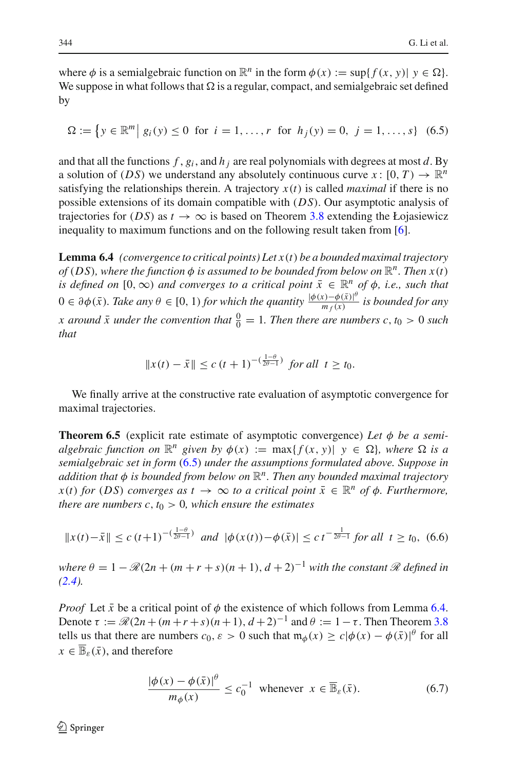where  $\phi$  is a semialgebraic function on  $\mathbb{R}^n$  in the form  $\phi(x) := \sup\{f(x, y) | y \in \Omega\}$ . We suppose in what follows that  $\Omega$  is a regular, compact, and semialgebraic set defined by

$$
\Omega := \left\{ y \in \mathbb{R}^m \, \middle| \, g_i(y) \le 0 \, \text{ for } i = 1, \dots, r \, \text{ for } h_j(y) = 0, \, j = 1, \dots, s \right\} \tag{6.5}
$$

<span id="page-31-0"></span>and that all the functions  $f$ ,  $g_i$ , and  $h_j$  are real polynomials with degrees at most *d*. By a solution of (*DS*) we understand any absolutely continuous curve  $x : [0, T) \to \mathbb{R}^n$ satisfying the relationships therein. A trajectory  $x(t)$  is called *maximal* if there is no possible extensions of its domain compatible with (*DS*). Our asymptotic analysis of trajectories for (*DS*) as  $t \to \infty$  is based on Theorem [3.8](#page-13-3) extending the Łojasiewicz inequality to maximum functions and on the following result taken from [\[6\]](#page-32-12).

<span id="page-31-1"></span>**Lemma 6.4** *(convergence to critical points) Let x*(*t*) *be a bounded maximal trajectory of* (DS), where the function  $\phi$  is assumed to be bounded from below on  $\mathbb{R}^n$ . Then  $x(t)$ *is defined on* [0,  $\infty$ ) *and converges to a critical point*  $\bar{x} \in \mathbb{R}^n$  *of*  $\phi$ *, i.e., such that*  $0 ∈ ∂φ(\bar{x})$ *. Take any*  $\theta ∈ [0, 1)$  *for which the quantity*  $\frac{|\phi(x) - \phi(\bar{x})|^\theta}{m_f(x)}$  *is bounded for any x* around  $\bar{x}$  under the convention that  $\frac{0}{0} = 1$ . Then there are numbers  $c, t_0 > 0$  such *that*

$$
||x(t) - \bar{x}|| \le c (t+1)^{-(\frac{1-\theta}{2\theta-1})}
$$
 for all  $t \ge t_0$ .

We finally arrive at the constructive rate evaluation of asymptotic convergence for maximal trajectories.

**Theorem 6.5** (explicit rate estimate of asymptotic convergence) Let  $\phi$  be a semi*algebraic function on*  $\mathbb{R}^n$  *given by*  $\phi(x) := \max\{f(x, y) | y \in \Omega\}$ *, where*  $\Omega$  *is a semialgebraic set in form* [\(6.5\)](#page-31-0) *under the assumptions formulated above. Suppose in addition that* φ *is bounded from below on* R*n. Then any bounded maximal trajectory*  $x(t)$  *for* (*DS*) *converges as*  $t \to \infty$  *to a critical point*  $\bar{x} \in \mathbb{R}^n$  *of*  $\phi$ *. Furthermore, there are numbers c,*  $t_0 > 0$ *, which ensure the estimates* 

$$
||x(t) - \bar{x}|| \le c (t+1)^{-(\frac{1-\theta}{2\theta-1})} \text{ and } |\phi(x(t)) - \phi(\bar{x})| \le c t^{-\frac{1}{2\theta-1}} \text{ for all } t \ge t_0, (6.6)
$$

<span id="page-31-2"></span>*where*  $\theta = 1 - \Re(2n + (m+r+s)(n+1), d+2)^{-1}$  *with the constant*  $\Re$  *defined in [\(2.4\)](#page-6-1).*

<span id="page-31-3"></span>*Proof* Let  $\bar{x}$  be a critical point of  $\phi$  the existence of which follows from Lemma [6.4.](#page-31-1) Denote  $τ := \mathcal{R}(2n + (m+r+s)(n+1), d+2)^{-1}$  and  $θ := 1 − τ$ . Then Theorem [3.8](#page-13-3) tells us that there are numbers  $c_0$ ,  $\varepsilon > 0$  such that  $\mathfrak{m}_\phi(x) \geq c |\phi(x) - \phi(\bar{x})|^\theta$  for all  $x \in \overline{\mathbb{B}}_{\varepsilon}(\bar{x})$ , and therefore

$$
\frac{|\phi(x) - \phi(\bar{x})|^{\theta}}{m_{\phi}(x)} \le c_0^{-1} \text{ whenever } x \in \overline{\mathbb{B}}_{\varepsilon}(\bar{x}).\tag{6.7}
$$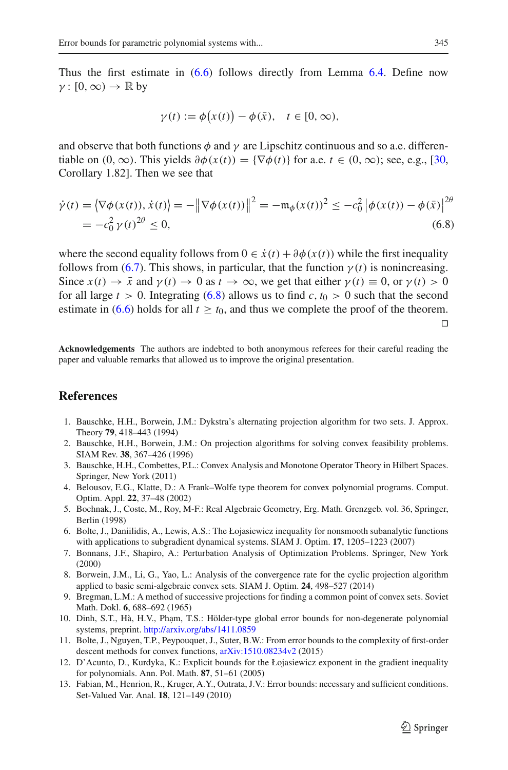Thus the first estimate in [\(6.6\)](#page-31-2) follows directly from Lemma [6.4.](#page-31-1) Define now  $\gamma : [0, \infty) \to \mathbb{R}$  by

$$
\gamma(t) := \phi(x(t)) - \phi(\bar{x}), \quad t \in [0, \infty),
$$

and observe that both functions  $\phi$  and  $\gamma$  are Lipschitz continuous and so a.e. differentiable on  $(0, \infty)$ . This yields  $\partial \phi(x(t)) = {\nabla \phi(t)}$  for a.e.  $t \in (0, \infty)$ ; see, e.g., [\[30,](#page-33-13) Corollary 1.82]. Then we see that

<span id="page-32-13"></span>
$$
\dot{\gamma}(t) = \left\langle \nabla \phi(x(t)), \dot{x}(t) \right\rangle = -\left\| \nabla \phi(x(t)) \right\|^2 = -\mathfrak{m}_{\phi}(x(t))^2 \le -c_0^2 \left| \phi(x(t)) - \phi(\bar{x}) \right|^{2\theta} \n= -c_0^2 \gamma(t)^{2\theta} \le 0,
$$
\n(6.8)

where the second equality follows from  $0 \in \dot{x}(t) + \partial \phi(x(t))$  while the first inequality follows from [\(6.7\)](#page-31-3). This shows, in particular, that the function  $\gamma(t)$  is nonincreasing. Since  $x(t) \to \bar{x}$  and  $\gamma(t) \to 0$  as  $t \to \infty$ , we get that either  $\gamma(t) \equiv 0$ , or  $\gamma(t) > 0$ for all large  $t > 0$ . Integrating [\(6.8\)](#page-32-13) allows us to find c,  $t_0 > 0$  such that the second estimate in  $(6.6)$  holds for all  $t \ge t_0$ , and thus we complete the proof of the theorem.  $\Box$ 

**Acknowledgements** The authors are indebted to both anonymous referees for their careful reading the paper and valuable remarks that allowed us to improve the original presentation.

## <span id="page-32-10"></span>**References**

- 1. Bauschke, H.H., Borwein, J.M.: Dykstra's alternating projection algorithm for two sets. J. Approx. Theory **79**, 418–443 (1994)
- <span id="page-32-7"></span>2. Bauschke, H.H., Borwein, J.M.: On projection algorithms for solving convex feasibility problems. SIAM Rev. **38**, 367–426 (1996)
- <span id="page-32-8"></span>3. Bauschke, H.H., Combettes, P.L.: Convex Analysis and Monotone Operator Theory in Hilbert Spaces. Springer, New York (2011)
- <span id="page-32-11"></span>4. Belousov, E.G., Klatte, D.: A Frank–Wolfe type theorem for convex polynomial programs. Comput. Optim. Appl. **22**, 37–48 (2002)
- <span id="page-32-4"></span>5. Bochnak, J., Coste, M., Roy, M-F.: Real Algebraic Geometry, Erg. Math. Grenzgeb. vol. 36, Springer, Berlin (1998)
- <span id="page-32-12"></span>6. Bolte, J., Daniilidis, A., Lewis, A.S.: The Łojasiewicz inequality for nonsmooth subanalytic functions with applications to subgradient dynamical systems. SIAM J. Optim. **17**, 1205–1223 (2007)
- <span id="page-32-6"></span>7. Bonnans, J.F., Shapiro, A.: Perturbation Analysis of Optimization Problems. Springer, New York (2000)
- <span id="page-32-2"></span>8. Borwein, J.M., Li, G., Yao, L.: Analysis of the convergence rate for the cyclic projection algorithm applied to basic semi-algebraic convex sets. SIAM J. Optim. **24**, 498–527 (2014)
- 9. Bregman, L.M.: A method of successive projections for finding a common point of convex sets. Soviet Math. Dokl. **6**, 688–692 (1965)
- <span id="page-32-9"></span><span id="page-32-3"></span>10. Dinh, S.T., Hà, H.V., Phạm, T.S.: Hölder-type global error bounds for non-degenerate polynomial systems, preprint. <http://arxiv.org/abs/1411.0859>
- <span id="page-32-0"></span>11. Bolte, J., Nguyen, T.P., Peypouquet, J., Suter, B.W.: From error bounds to the complexity of first-order descent methods for convex functions,  $arXiv:1510.08234v2$  (2015)
- <span id="page-32-5"></span>12. D'Acunto, D., Kurdyka, K.: Explicit bounds for the Łojasiewicz exponent in the gradient inequality for polynomials. Ann. Pol. Math. **87**, 51–61 (2005)
- <span id="page-32-1"></span>13. Fabian, M., Henrion, R., Kruger, A.Y., Outrata, J.V.: Error bounds: necessary and sufficient conditions. Set-Valued Var. Anal. **18**, 121–149 (2010)